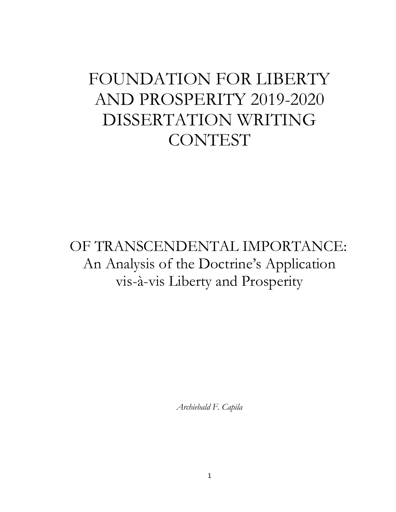# FOUNDATION FOR LIBERTY AND PROSPERITY 2019-2020 DISSERTATION WRITING **CONTEST**

## OF TRANSCENDENTAL IMPORTANCE: An Analysis of the Doctrine's Application vis-à-vis Liberty and Prosperity

*Archiebald F. Capila*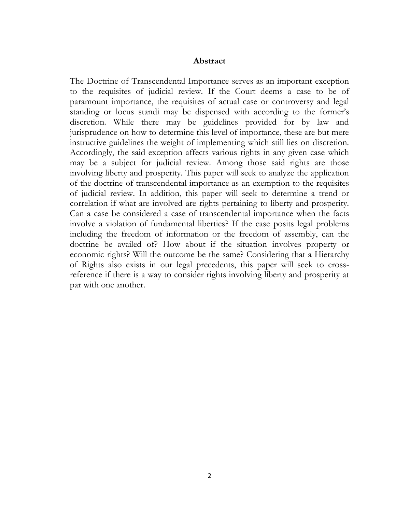#### **Abstract**

The Doctrine of Transcendental Importance serves as an important exception to the requisites of judicial review. If the Court deems a case to be of paramount importance, the requisites of actual case or controversy and legal standing or locus standi may be dispensed with according to the former's discretion. While there may be guidelines provided for by law and jurisprudence on how to determine this level of importance, these are but mere instructive guidelines the weight of implementing which still lies on discretion. Accordingly, the said exception affects various rights in any given case which may be a subject for judicial review. Among those said rights are those involving liberty and prosperity. This paper will seek to analyze the application of the doctrine of transcendental importance as an exemption to the requisites of judicial review. In addition, this paper will seek to determine a trend or correlation if what are involved are rights pertaining to liberty and prosperity. Can a case be considered a case of transcendental importance when the facts involve a violation of fundamental liberties? If the case posits legal problems including the freedom of information or the freedom of assembly, can the doctrine be availed of? How about if the situation involves property or economic rights? Will the outcome be the same? Considering that a Hierarchy of Rights also exists in our legal precedents, this paper will seek to crossreference if there is a way to consider rights involving liberty and prosperity at par with one another.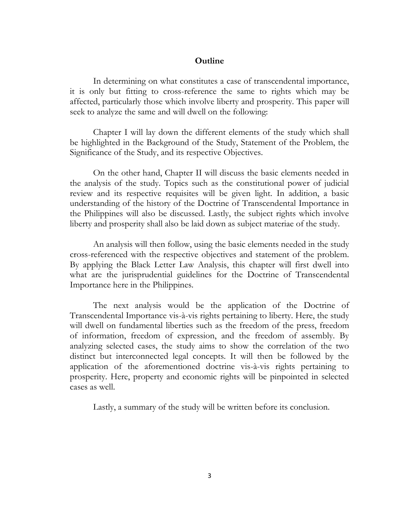### **Outline**

In determining on what constitutes a case of transcendental importance, it is only but fitting to cross-reference the same to rights which may be affected, particularly those which involve liberty and prosperity. This paper will seek to analyze the same and will dwell on the following:

Chapter I will lay down the different elements of the study which shall be highlighted in the Background of the Study, Statement of the Problem, the Significance of the Study, and its respective Objectives.

On the other hand, Chapter II will discuss the basic elements needed in the analysis of the study. Topics such as the constitutional power of judicial review and its respective requisites will be given light. In addition, a basic understanding of the history of the Doctrine of Transcendental Importance in the Philippines will also be discussed. Lastly, the subject rights which involve liberty and prosperity shall also be laid down as subject materiae of the study.

An analysis will then follow, using the basic elements needed in the study cross-referenced with the respective objectives and statement of the problem. By applying the Black Letter Law Analysis, this chapter will first dwell into what are the jurisprudential guidelines for the Doctrine of Transcendental Importance here in the Philippines.

The next analysis would be the application of the Doctrine of Transcendental Importance vis-à-vis rights pertaining to liberty. Here, the study will dwell on fundamental liberties such as the freedom of the press, freedom of information, freedom of expression, and the freedom of assembly. By analyzing selected cases, the study aims to show the correlation of the two distinct but interconnected legal concepts. It will then be followed by the application of the aforementioned doctrine vis-à-vis rights pertaining to prosperity. Here, property and economic rights will be pinpointed in selected cases as well.

Lastly, a summary of the study will be written before its conclusion.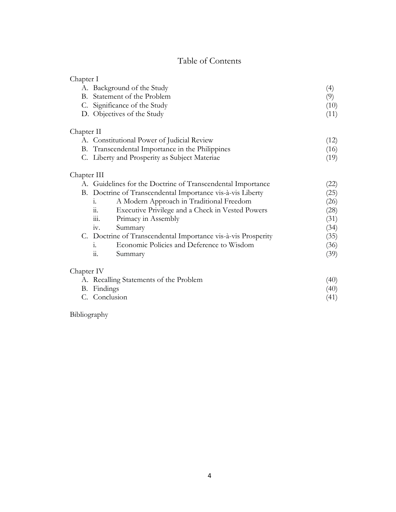## Table of Contents

| Chapter I   | A. Background of the Study                                    | (4)  |
|-------------|---------------------------------------------------------------|------|
| B.          | Statement of the Problem                                      | (9)  |
|             | C. Significance of the Study                                  | (10) |
|             | D. Objectives of the Study                                    | (11) |
| Chapter II  |                                                               |      |
|             | A. Constitutional Power of Judicial Review                    | (12) |
| В.          | Transcendental Importance in the Philippines                  | (16) |
|             | C. Liberty and Prosperity as Subject Materiae                 | (19) |
| Chapter III |                                                               |      |
|             | A. Guidelines for the Doctrine of Transcendental Importance   | (22) |
| В.          | Doctrine of Transcendental Importance vis-à-vis Liberty       | (25) |
|             | A Modern Approach in Traditional Freedom<br>1.                | (26) |
|             | Executive Privilege and a Check in Vested Powers<br>11.       | (28) |
|             | Primacy in Assembly<br>111.                                   | (31) |
|             | Summary<br>1V.                                                | (34) |
|             | C. Doctrine of Transcendental Importance vis-à-vis Prosperity | (35) |
|             | Economic Policies and Deference to Wisdom<br>1.               | (36) |
|             | Summary<br>11.                                                | (39) |
| Chapter IV  |                                                               |      |
|             | A. Recalling Statements of the Problem                        | (40) |
|             | B. Findings                                                   | (40) |
|             | C. Conclusion                                                 | (41) |

Bibliography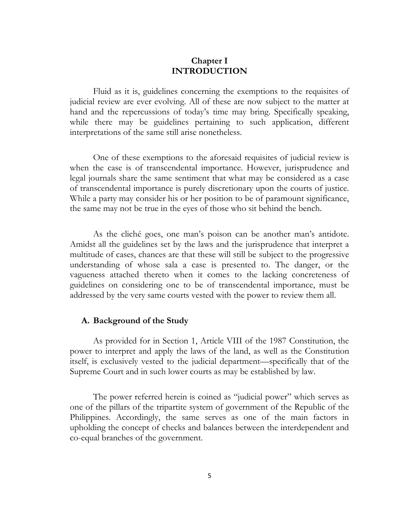## **Chapter I INTRODUCTION**

Fluid as it is, guidelines concerning the exemptions to the requisites of judicial review are ever evolving. All of these are now subject to the matter at hand and the repercussions of today's time may bring. Specifically speaking, while there may be guidelines pertaining to such application, different interpretations of the same still arise nonetheless.

One of these exemptions to the aforesaid requisites of judicial review is when the case is of transcendental importance. However, jurisprudence and legal journals share the same sentiment that what may be considered as a case of transcendental importance is purely discretionary upon the courts of justice. While a party may consider his or her position to be of paramount significance, the same may not be true in the eyes of those who sit behind the bench.

As the cliché goes, one man's poison can be another man's antidote. Amidst all the guidelines set by the laws and the jurisprudence that interpret a multitude of cases, chances are that these will still be subject to the progressive understanding of whose sala a case is presented to. The danger, or the vagueness attached thereto when it comes to the lacking concreteness of guidelines on considering one to be of transcendental importance, must be addressed by the very same courts vested with the power to review them all.

#### **A. Background of the Study**

As provided for in Section 1, Article VIII of the 1987 Constitution, the power to interpret and apply the laws of the land, as well as the Constitution itself, is exclusively vested to the judicial department—specifically that of the Supreme Court and in such lower courts as may be established by law.

The power referred herein is coined as "judicial power" which serves as one of the pillars of the tripartite system of government of the Republic of the Philippines. Accordingly, the same serves as one of the main factors in upholding the concept of checks and balances between the interdependent and co-equal branches of the government.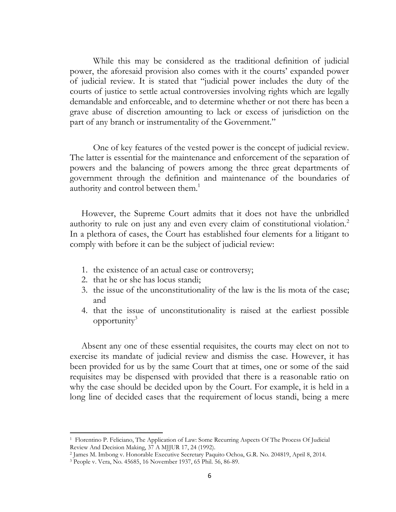While this may be considered as the traditional definition of judicial power, the aforesaid provision also comes with it the courts' expanded power of judicial review. It is stated that "judicial power includes the duty of the courts of justice to settle actual controversies involving rights which are legally demandable and enforceable, and to determine whether or not there has been a grave abuse of discretion amounting to lack or excess of jurisdiction on the part of any branch or instrumentality of the Government."

One of key features of the vested power is the concept of judicial review. The latter is essential for the maintenance and enforcement of the separation of powers and the balancing of powers among the three great departments of government through the definition and maintenance of the boundaries of authority and control between them.<sup>1</sup>

However, the Supreme Court admits that it does not have the unbridled authority to rule on just any and even every claim of constitutional violation.<sup>2</sup> In a plethora of cases, the Court has established four elements for a litigant to comply with before it can be the subject of judicial review:

- 1. the existence of an actual case or controversy;
- 2. that he or she has locus standi;
- 3. the issue of the unconstitutionality of the law is the lis mota of the case; and
- 4. that the issue of unconstitutionality is raised at the earliest possible opportunity $3$

Absent any one of these essential requisites, the courts may elect on not to exercise its mandate of judicial review and dismiss the case. However, it has been provided for us by the same Court that at times, one or some of the said requisites may be dispensed with provided that there is a reasonable ratio on why the case should be decided upon by the Court. For example, it is held in a long line of decided cases that the requirement of locus standi, being a mere

<sup>1</sup> Florentino P. Feliciano, The Application of Law: Some Recurring Aspects Of The Process Of Judicial Review And Decision Making, 37 A MJJUR 17, 24 (1992).

<sup>2</sup> James M. Imbong v. Honorable Executive Secretary Paquito Ochoa, G.R. No. 204819, April 8, 2014.

<sup>3</sup> People v. Vera, No. 45685, 16 November 1937, 65 Phil. 56, 86-89.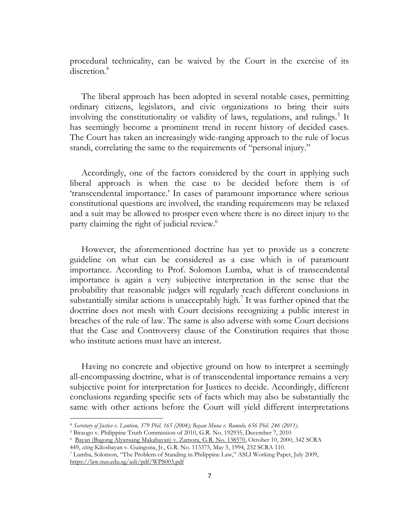procedural technicality, can be waived by the Court in the exercise of its discretion.<sup>4</sup>

The liberal approach has been adopted in several notable cases, permitting ordinary citizens, legislators, and civic organizations to bring their suits involving the constitutionality or validity of laws, regulations, and rulings.<sup>5</sup> It has seemingly become a prominent trend in recent history of decided cases. The Court has taken an increasingly wide-ranging approach to the rule of locus standi, correlating the same to the requirements of "personal injury."

Accordingly, one of the factors considered by the court in applying such liberal approach is when the case to be decided before them is of 'transcendental importance.' In cases of paramount importance where serious constitutional questions are involved, the standing requirements may be relaxed and a suit may be allowed to prosper even where there is no direct injury to the party claiming the right of judicial review.<sup>6</sup>

However, the aforementioned doctrine has yet to provide us a concrete guideline on what can be considered as a case which is of paramount importance. According to Prof. Solomon Lumba, what is of transcendental importance is again a very subjective interpretation in the sense that the probability that reasonable judges will regularly reach different conclusions in substantially similar actions is unacceptably high.<sup>7</sup> It was further opined that the doctrine does not mesh with Court decisions recognizing a public interest in breaches of the rule of law. The same is also adverse with some Court decisions that the Case and Controversy clause of the Constitution requires that those who institute actions must have an interest.

Having no concrete and objective ground on how to interpret a seemingly all-encompassing doctrine, what is of transcendental importance remains a very subjective point for interpretation for Justices to decide. Accordingly, different conclusions regarding specific sets of facts which may also be substantially the same with other actions before the Court will yield different interpretations

 $\overline{\phantom{a}}$ 

<sup>4</sup> *Secretary of Justice v. Lantion, 379 Phil. 165 (2004); Bayan Muna v. Romulo, 656 Phil. 246 (2011).*

<sup>5</sup> Biraogo v. Philippine Truth Commission of 2010, G.R. No. 192935, December 7, 2010

<sup>6</sup> [Bayan \(Bagong Alyansang Makabayan\) v. Zamora,](https://lawphil.net/judjuris/2000/oct2000/138570.htm) G.R. No. 138570, October 10, 2000, 342 SCRA

<sup>449,</sup> *citing* Kilosbayan v. Guingona, Jr., G.R. No. 113375, May 5, 1994, 232 SCRA 110.

<sup>7</sup> Lumba, Solomon, "The Problem of Standing in Philippine Law," ASLI Working Paper, July 2009, <https://law.nus.edu.sg/asli/pdf/WPS003.pdf>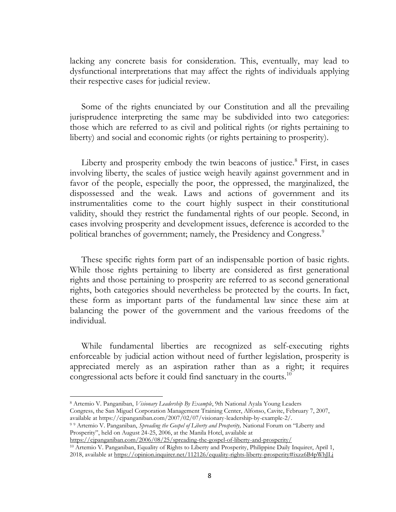lacking any concrete basis for consideration. This, eventually, may lead to dysfunctional interpretations that may affect the rights of individuals applying their respective cases for judicial review.

Some of the rights enunciated by our Constitution and all the prevailing jurisprudence interpreting the same may be subdivided into two categories: those which are referred to as civil and political rights (or rights pertaining to liberty) and social and economic rights (or rights pertaining to prosperity).

Liberty and prosperity embody the twin beacons of justice.<sup>8</sup> First, in cases involving liberty, the scales of justice weigh heavily against government and in favor of the people, especially the poor, the oppressed, the marginalized, the dispossessed and the weak. Laws and actions of government and its instrumentalities come to the court highly suspect in their constitutional validity, should they restrict the fundamental rights of our people. Second, in cases involving prosperity and development issues, deference is accorded to the political branches of government; namely, the Presidency and Congress.<sup>9</sup>

These specific rights form part of an indispensable portion of basic rights. While those rights pertaining to liberty are considered as first generational rights and those pertaining to prosperity are referred to as second generational rights, both categories should nevertheless be protected by the courts. In fact, these form as important parts of the fundamental law since these aim at balancing the power of the government and the various freedoms of the individual.

While fundamental liberties are recognized as self-executing rights enforceable by judicial action without need of further legislation, prosperity is appreciated merely as an aspiration rather than as a right; it requires congressional acts before it could find sanctuary in the courts.<sup>10</sup>

 $\overline{a}$ <sup>8</sup> Artemio V. Panganiban, *Visionary Leadership By Example*, 9th National Ayala Young Leaders Congress, the San Miguel Corporation Management Training Center, Alfonso, Cavite, February 7, 2007, available at https://cjpanganiban.com/2007/02/07/visionary-leadership-by-example-2/.

<sup>9</sup> <sup>9</sup> Artemio V. Panganiban, *Spreading the Gospel of Liberty and Prosperity,* National Forum on "Liberty and Prosperity", held on August 24-25, 2006, at the Manila Hotel, available at

<https://cjpanganiban.com/2006/08/25/spreading-the-gospel-of-liberty-and-prosperity/>

<sup>10</sup> Artemio V. Panganiban, Equality of Rights to Liberty and Prosperity, Philippine Daily Inquirer, April 1, 2018, available at<https://opinion.inquirer.net/112126/equality-rights-liberty-prosperity#ixzz6B4pWhJLj>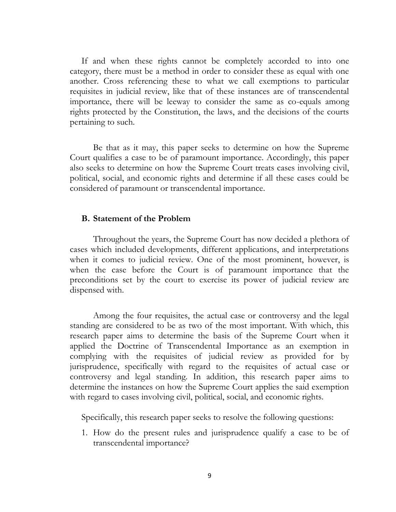If and when these rights cannot be completely accorded to into one category, there must be a method in order to consider these as equal with one another. Cross referencing these to what we call exemptions to particular requisites in judicial review, like that of these instances are of transcendental importance, there will be leeway to consider the same as co-equals among rights protected by the Constitution, the laws, and the decisions of the courts pertaining to such.

Be that as it may, this paper seeks to determine on how the Supreme Court qualifies a case to be of paramount importance. Accordingly, this paper also seeks to determine on how the Supreme Court treats cases involving civil, political, social, and economic rights and determine if all these cases could be considered of paramount or transcendental importance.

#### **B. Statement of the Problem**

Throughout the years, the Supreme Court has now decided a plethora of cases which included developments, different applications, and interpretations when it comes to judicial review. One of the most prominent, however, is when the case before the Court is of paramount importance that the preconditions set by the court to exercise its power of judicial review are dispensed with.

Among the four requisites, the actual case or controversy and the legal standing are considered to be as two of the most important. With which, this research paper aims to determine the basis of the Supreme Court when it applied the Doctrine of Transcendental Importance as an exemption in complying with the requisites of judicial review as provided for by jurisprudence, specifically with regard to the requisites of actual case or controversy and legal standing. In addition, this research paper aims to determine the instances on how the Supreme Court applies the said exemption with regard to cases involving civil, political, social, and economic rights.

Specifically, this research paper seeks to resolve the following questions:

1. How do the present rules and jurisprudence qualify a case to be of transcendental importance?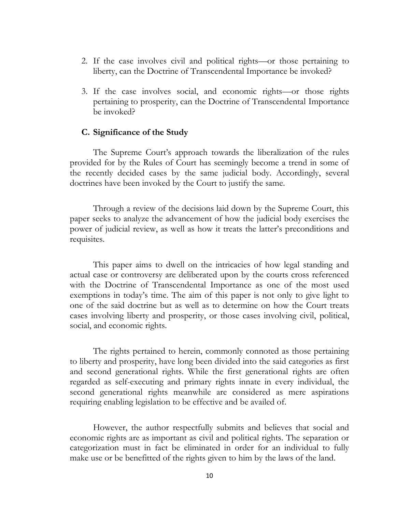- 2. If the case involves civil and political rights—or those pertaining to liberty, can the Doctrine of Transcendental Importance be invoked?
- 3. If the case involves social, and economic rights—or those rights pertaining to prosperity, can the Doctrine of Transcendental Importance be invoked?

#### **C. Significance of the Study**

The Supreme Court's approach towards the liberalization of the rules provided for by the Rules of Court has seemingly become a trend in some of the recently decided cases by the same judicial body. Accordingly, several doctrines have been invoked by the Court to justify the same.

Through a review of the decisions laid down by the Supreme Court, this paper seeks to analyze the advancement of how the judicial body exercises the power of judicial review, as well as how it treats the latter's preconditions and requisites.

This paper aims to dwell on the intricacies of how legal standing and actual case or controversy are deliberated upon by the courts cross referenced with the Doctrine of Transcendental Importance as one of the most used exemptions in today's time. The aim of this paper is not only to give light to one of the said doctrine but as well as to determine on how the Court treats cases involving liberty and prosperity, or those cases involving civil, political, social, and economic rights.

The rights pertained to herein, commonly connoted as those pertaining to liberty and prosperity, have long been divided into the said categories as first and second generational rights. While the first generational rights are often regarded as self-executing and primary rights innate in every individual, the second generational rights meanwhile are considered as mere aspirations requiring enabling legislation to be effective and be availed of.

However, the author respectfully submits and believes that social and economic rights are as important as civil and political rights. The separation or categorization must in fact be eliminated in order for an individual to fully make use or be benefitted of the rights given to him by the laws of the land.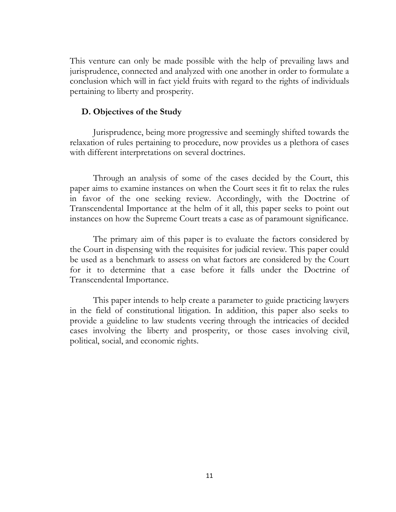This venture can only be made possible with the help of prevailing laws and jurisprudence, connected and analyzed with one another in order to formulate a conclusion which will in fact yield fruits with regard to the rights of individuals pertaining to liberty and prosperity.

## **D. Objectives of the Study**

Jurisprudence, being more progressive and seemingly shifted towards the relaxation of rules pertaining to procedure, now provides us a plethora of cases with different interpretations on several doctrines.

Through an analysis of some of the cases decided by the Court, this paper aims to examine instances on when the Court sees it fit to relax the rules in favor of the one seeking review. Accordingly, with the Doctrine of Transcendental Importance at the helm of it all, this paper seeks to point out instances on how the Supreme Court treats a case as of paramount significance.

The primary aim of this paper is to evaluate the factors considered by the Court in dispensing with the requisites for judicial review. This paper could be used as a benchmark to assess on what factors are considered by the Court for it to determine that a case before it falls under the Doctrine of Transcendental Importance.

This paper intends to help create a parameter to guide practicing lawyers in the field of constitutional litigation. In addition, this paper also seeks to provide a guideline to law students veering through the intricacies of decided cases involving the liberty and prosperity, or those cases involving civil, political, social, and economic rights.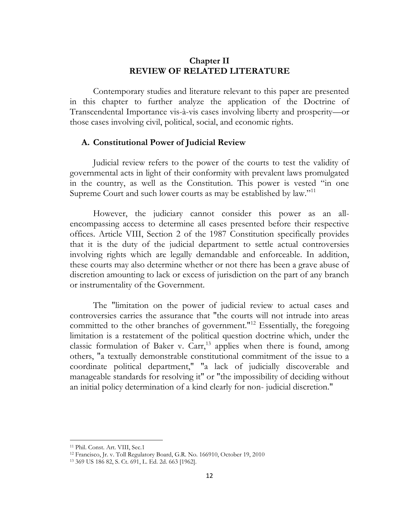## **Chapter II REVIEW OF RELATED LITERATURE**

Contemporary studies and literature relevant to this paper are presented in this chapter to further analyze the application of the Doctrine of Transcendental Importance vis-à-vis cases involving liberty and prosperity—or those cases involving civil, political, social, and economic rights.

#### **A. Constitutional Power of Judicial Review**

Judicial review refers to the power of the courts to test the validity of governmental acts in light of their conformity with prevalent laws promulgated in the country, as well as the Constitution. This power is vested "in one Supreme Court and such lower courts as may be established by law."<sup>11</sup>

However, the judiciary cannot consider this power as an allencompassing access to determine all cases presented before their respective offices. Article VIII, Section 2 of the 1987 Constitution specifically provides that it is the duty of the judicial department to settle actual controversies involving rights which are legally demandable and enforceable. In addition, these courts may also determine whether or not there has been a grave abuse of discretion amounting to lack or excess of jurisdiction on the part of any branch or instrumentality of the Government.

The "limitation on the power of judicial review to actual cases and controversies carries the assurance that "the courts will not intrude into areas committed to the other branches of government."<sup>12</sup> Essentially, the foregoing limitation is a restatement of the political question doctrine which, under the classic formulation of Baker v.  $Carr<sub>13</sub>$  applies when there is found, among others, "a textually demonstrable constitutional commitment of the issue to a coordinate political department," "a lack of judicially discoverable and manageable standards for resolving it" or "the impossibility of deciding without an initial policy determination of a kind clearly for non- judicial discretion."

<sup>11</sup> Phil. Const. Art. VIII, Sec.1

<sup>12</sup> Francisco, Jr. v. Toll Regulatory Board, G.R. No. 166910, October 19, 2010

<sup>13</sup> 369 US 186 82, S. Ct. 691, L. Ed. 2d. 663 [1962].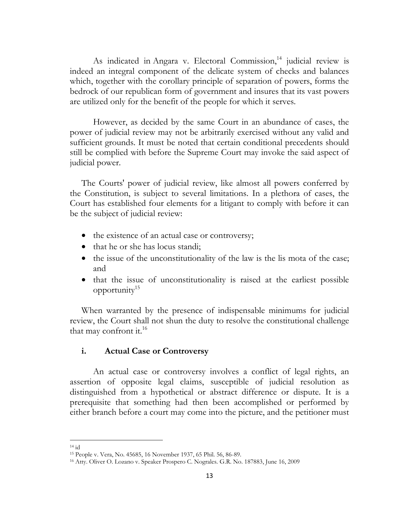As indicated in Angara v. Electoral Commission, <sup>14</sup> judicial review is indeed an integral component of the delicate system of checks and balances which, together with the corollary principle of separation of powers, forms the bedrock of our republican form of government and insures that its vast powers are utilized only for the benefit of the people for which it serves.

However, as decided by the same Court in an abundance of cases, the power of judicial review may not be arbitrarily exercised without any valid and sufficient grounds. It must be noted that certain conditional precedents should still be complied with before the Supreme Court may invoke the said aspect of judicial power.

The Courts' power of judicial review, like almost all powers conferred by the Constitution, is subject to several limitations. In a plethora of cases, the Court has established four elements for a litigant to comply with before it can be the subject of judicial review:

- the existence of an actual case or controversy;
- that he or she has locus standi;
- the issue of the unconstitutionality of the law is the lis mota of the case; and
- that the issue of unconstitutionality is raised at the earliest possible opportunity $15$

When warranted by the presence of indispensable minimums for judicial review, the Court shall not shun the duty to resolve the constitutional challenge that may confront it.<sup>16</sup>

## **i. Actual Case or Controversy**

An actual case or controversy involves a conflict of legal rights, an assertion of opposite legal claims, susceptible of judicial resolution as distinguished from a hypothetical or abstract difference or dispute. It is a prerequisite that something had then been accomplished or performed by either branch before a court may come into the picture, and the petitioner must

l  $14$  id

<sup>15</sup> People v. Vera, No. 45685, 16 November 1937, 65 Phil. 56, 86-89.

<sup>16</sup> Atty. Oliver O. Lozano v. Speaker Prospero C. Nograles. G.R. No. 187883, June 16, 2009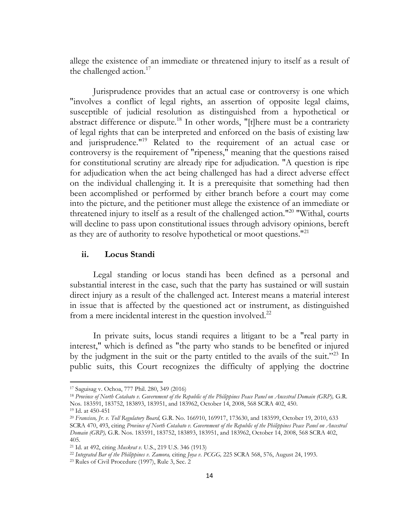allege the existence of an immediate or threatened injury to itself as a result of the challenged action.<sup>17</sup>

Jurisprudence provides that an actual case or controversy is one which "involves a conflict of legal rights, an assertion of opposite legal claims, susceptible of judicial resolution as distinguished from a hypothetical or abstract difference or dispute.<sup>18</sup> In other words, "[t]here must be a contrariety of legal rights that can be interpreted and enforced on the basis of existing law and jurisprudence."<sup>19</sup> Related to the requirement of an actual case or controversy is the requirement of "ripeness," meaning that the questions raised for constitutional scrutiny are already ripe for adjudication. "A question is ripe for adjudication when the act being challenged has had a direct adverse effect on the individual challenging it. It is a prerequisite that something had then been accomplished or performed by either branch before a court may come into the picture, and the petitioner must allege the existence of an immediate or threatened injury to itself as a result of the challenged action."<sup>20</sup> "Withal, courts will decline to pass upon constitutional issues through advisory opinions, bereft as they are of authority to resolve hypothetical or moot questions.<sup>"21</sup>

## **ii. Locus Standi**

Legal standing or locus standi has been defined as a personal and substantial interest in the case, such that the party has sustained or will sustain direct injury as a result of the challenged act. Interest means a material interest in issue that is affected by the questioned act or instrument, as distinguished from a mere incidental interest in the question involved. $^{22}$ 

In private suits, locus standi requires a litigant to be a "real party in interest," which is defined as "the party who stands to be benefited or injured by the judgment in the suit or the party entitled to the avails of the suit."<sup>23</sup> In public suits, this Court recognizes the difficulty of applying the doctrine

<sup>17</sup> Saguisag v. Ochoa, 777 Phil. 280, 349 (2016)

<sup>18</sup> *Province of North Cotabato v. Government of the Republic of the Philippines Peace Panel on Ancestral Domain (GRP),* G.R. Nos. 183591, 183752, 183893, 183951, and 183962, October 14, 2008, 568 SCRA 402, 450.

<sup>19</sup> Id. at 450-451

<sup>20</sup> *Francisco, Jr. v. Toll Regulatory Board,* G.R. No. 166910, 169917, 173630, and 183599, October 19, 2010, 633 SCRA 470, 493, citing *Province of North Cotabato v. Government of the Republic of the Philippines Peace Panel on Ancestral Domain (GRP),* G.R. Nos. 183591, 183752, 183893, 183951, and 183962, October 14, 2008, 568 SCRA 402, 405.

<sup>21</sup> Id. at 492, citing *Muskrat v.* U.S., 219 U.S. 346 (1913)

<sup>22</sup> *Integrated Bar of the Philippines v. Zamora,* citing *Joya v. PCGG,* 225 SCRA 568, 576, August 24, 1993.

<sup>23</sup> Rules of Civil Procedure (1997), Rule 3, Sec. 2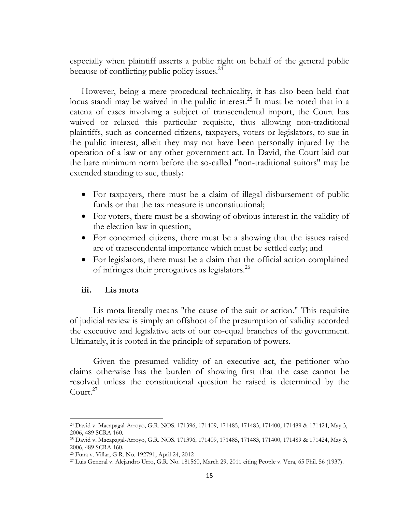especially when plaintiff asserts a public right on behalf of the general public because of conflicting public policy issues.<sup>24</sup>

However, being a mere procedural technicality, it has also been held that locus standi may be waived in the public interest.<sup>25</sup> It must be noted that in a catena of cases involving a subject of transcendental import, the Court has waived or relaxed this particular requisite, thus allowing non-traditional plaintiffs, such as concerned citizens, taxpayers, voters or legislators, to sue in the public interest, albeit they may not have been personally injured by the operation of a law or any other government act. In David, the Court laid out the bare minimum norm before the so-called "non-traditional suitors" may be extended standing to sue, thusly:

- For taxpayers, there must be a claim of illegal disbursement of public funds or that the tax measure is unconstitutional;
- For voters, there must be a showing of obvious interest in the validity of the election law in question;
- For concerned citizens, there must be a showing that the issues raised are of transcendental importance which must be settled early; and
- For legislators, there must be a claim that the official action complained of infringes their prerogatives as legislators.<sup>26</sup>

#### **iii. Lis mota**

 $\overline{\phantom{a}}$ 

Lis mota literally means "the cause of the suit or action." This requisite of judicial review is simply an offshoot of the presumption of validity accorded the executive and legislative acts of our co-equal branches of the government. Ultimately, it is rooted in the principle of separation of powers.

Given the presumed validity of an executive act, the petitioner who claims otherwise has the burden of showing first that the case cannot be resolved unless the constitutional question he raised is determined by the Court. $27$ 

<sup>24</sup> David v. Macapagal-Arroyo, G.R. NOS. 171396, 171409, 171485, 171483, 171400, 171489 & 171424, May 3, 2006, 489 SCRA 160.

<sup>25</sup> David v. Macapagal-Arroyo, G.R. NOS. 171396, 171409, 171485, 171483, 171400, 171489 & 171424, May 3, 2006, 489 SCRA 160.

<sup>26</sup> Funa v. Villar, G.R. No. 192791, April 24, 2012

<sup>27</sup> Luis General v. Alejandro Urro, G.R. No. 181560, March 29, 2011 citing People v. Vera, 65 Phil. 56 (1937).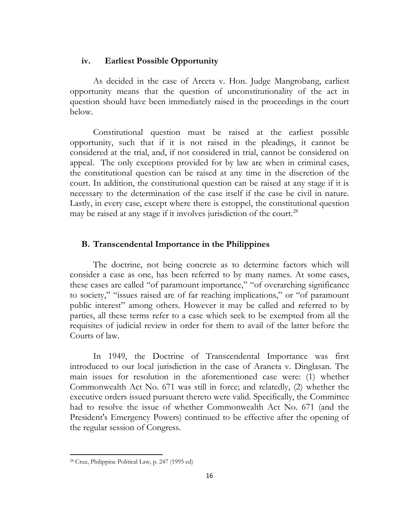## **iv. Earliest Possible Opportunity**

As decided in the case of Arceta v. Hon. Judge Mangrobang, earliest opportunity means that the question of unconstitutionality of the act in question should have been immediately raised in the proceedings in the court below.

Constitutional question must be raised at the earliest possible opportunity, such that if it is not raised in the pleadings, it cannot be considered at the trial, and, if not considered in trial, cannot be considered on appeal. The only exceptions provided for by law are when in criminal cases, the constitutional question can be raised at any time in the discretion of the court. In addition, the constitutional question can be raised at any stage if it is necessary to the determination of the case itself if the case be civil in nature. Lastly, in every case, except where there is estoppel, the constitutional question may be raised at any stage if it involves jurisdiction of the court.<sup>28</sup>

## **B. Transcendental Importance in the Philippines**

The doctrine, not being concrete as to determine factors which will consider a case as one, has been referred to by many names. At some cases, these cases are called "of paramount importance," "of overarching significance to society," "issues raised are of far reaching implications," or "of paramount public interest" among others. However it may be called and referred to by parties, all these terms refer to a case which seek to be exempted from all the requisites of judicial review in order for them to avail of the latter before the Courts of law.

In 1949, the Doctrine of Transcendental Importance was first introduced to our local jurisdiction in the case of Araneta v. Dinglasan. The main issues for resolution in the aforementioned case were: (1) whether Commonwealth Act No. 671 was still in force; and relatedly, (2) whether the executive orders issued pursuant thereto were valid. Specifically, the Committee had to resolve the issue of whether Commonwealth Act No. 671 (and the President's Emergency Powers) continued to be effective after the opening of the regular session of Congress.

 $\overline{a}$ 

<sup>28</sup> Cruz, Philippine Political Law, p. 247 (1995 ed)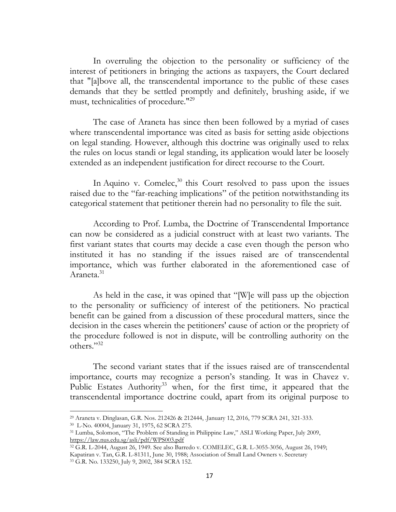In overruling the objection to the personality or sufficiency of the interest of petitioners in bringing the actions as taxpayers, the Court declared that "[a]bove all, the transcendental importance to the public of these cases demands that they be settled promptly and definitely, brushing aside, if we must, technicalities of procedure."<sup>29</sup>

The case of Araneta has since then been followed by a myriad of cases where transcendental importance was cited as basis for setting aside objections on legal standing. However, although this doctrine was originally used to relax the rules on locus standi or legal standing, its application would later be loosely extended as an independent justification for direct recourse to the Court.

In Aquino v. Comelec,<sup>30</sup> this Court resolved to pass upon the issues raised due to the "far-reaching implications" of the petition notwithstanding its categorical statement that petitioner therein had no personality to file the suit.

According to Prof. Lumba, the Doctrine of Transcendental Importance can now be considered as a judicial construct with at least two variants. The first variant states that courts may decide a case even though the person who instituted it has no standing if the issues raised are of transcendental importance, which was further elaborated in the aforementioned case of Araneta.<sup>31</sup>

As held in the case, it was opined that "[W]e will pass up the objection to the personality or sufficiency of interest of the petitioners. No practical benefit can be gained from a discussion of these procedural matters, since the decision in the cases wherein the petitioners' cause of action or the propriety of the procedure followed is not in dispute, will be controlling authority on the others."<sup>32</sup>

The second variant states that if the issues raised are of transcendental importance, courts may recognize a person's standing. It was in Chavez v. Public Estates Authority<sup>33</sup> when, for the first time, it appeared that the transcendental importance doctrine could, apart from its original purpose to

<sup>29</sup> Araneta v. Dinglasan, G.R. Nos. 212426 & 212444, .January 12, 2016, 779 SCRA 241, 321-333.

<sup>30</sup> L-No. 40004, January 31, 1975, 62 SCRA 275.

<sup>31</sup> Lumba, Solomon, "The Problem of Standing in Philippine Law," ASLI Working Paper, July 2009, <https://law.nus.edu.sg/asli/pdf/WPS003.pdf>

<sup>32</sup> G.R. L-2044, August 26, 1949. See also Barredo v. COMELEC, G.R. L-3055-3056, August 26, 1949; Kapatiran v. Tan, G.R. L-81311, June 30, 1988; Association of Small Land Owners v. Secretary <sup>33</sup> G.R. No. 133250, July 9, 2002, 384 SCRA 152.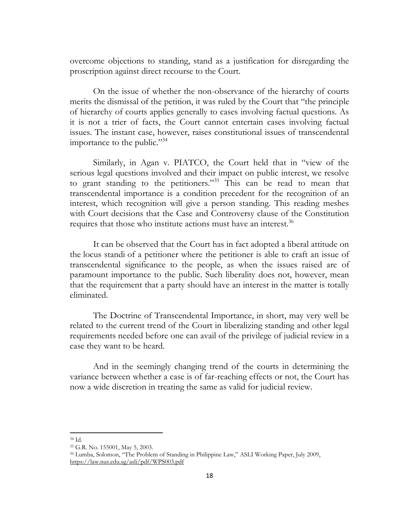overcome objections to standing, stand as a justification for disregarding the proscription against direct recourse to the Court.

On the issue of whether the non-observance of the hierarchy of courts merits the dismissal of the petition, it was ruled by the Court that "the principle of hierarchy of courts applies generally to cases involving factual questions. As it is not a trier of facts, the Court cannot entertain cases involving factual issues. The instant case, however, raises constitutional issues of transcendental importance to the public."<sup>34</sup>

Similarly, in Agan v. PIATCO, the Court held that in "view of the serious legal questions involved and their impact on public interest, we resolve to grant standing to the petitioners."<sup>35</sup> This can be read to mean that transcendental importance is a condition precedent for the recognition of an interest, which recognition will give a person standing. This reading meshes with Court decisions that the Case and Controversy clause of the Constitution requires that those who institute actions must have an interest.<sup>36</sup>

It can be observed that the Court has in fact adopted a liberal attitude on the locus standi of a petitioner where the petitioner is able to craft an issue of transcendental significance to the people, as when the issues raised are of paramount importance to the public. Such liberality does not, however, mean that the requirement that a party should have an interest in the matter is totally eliminated.

The Doctrine of Transcendental Importance, in short, may very well be related to the current trend of the Court in liberalizing standing and other legal requirements needed before one can avail of the privilege of judicial review in a case they want to be heard.

And in the seemingly changing trend of the courts in determining the variance between whether a case is of far-reaching effects or not, the Court has now a wide discretion in treating the same as valid for judicial review.

<sup>34</sup> Id.

<sup>35</sup> G.R. No. 155001, May 5, 2003.

<sup>36</sup> Lumba, Solomon, "The Problem of Standing in Philippine Law," ASLI Working Paper, July 2009, <https://law.nus.edu.sg/asli/pdf/WPS003.pdf>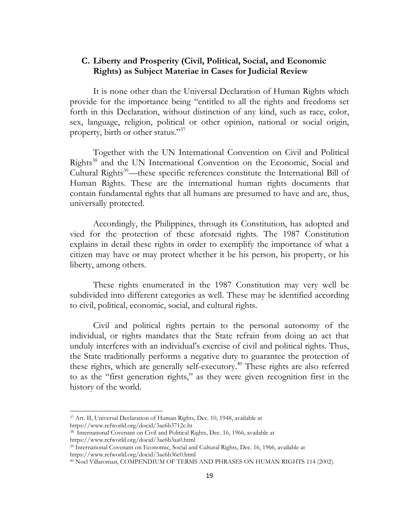## **C. Liberty and Prosperity (Civil, Political, Social, and Economic Rights) as Subject Materiae in Cases for Judicial Review**

It is none other than the Universal Declaration of Human Rights which provide for the importance being "entitled to all the rights and freedoms set forth in this Declaration, without distinction of any kind, such as race, color, sex, language, religion, political or other opinion, national or social origin, property, birth or other status."<sup>37</sup>

Together with the UN International Convention on Civil and Political Rights<sup>38</sup> and the UN International Convention on the Economic, Social and Cultural Rights<sup>39</sup>—these specific references constitute the International Bill of Human Rights. These are the international human rights documents that contain fundamental rights that all humans are presumed to have and are, thus, universally protected.

Accordingly, the Philippines, through its Constitution, has adopted and vied for the protection of these aforesaid rights. The 1987 Constitution explains in detail these rights in order to exemplify the importance of what a citizen may have or may protect whether it be his person, his property, or his liberty, among others.

These rights enumerated in the 1987 Constitution may very well be subdivided into different categories as well. These may be identified according to civil, political, economic, social, and cultural rights.

Civil and political rights pertain to the personal autonomy of the individual, or rights mandates that the State refrain from doing an act that unduly interferes with an individual's exercise of civil and political rights. Thus, the State traditionally performs a negative duty to guarantee the protection of these rights, which are generally self-executory.<sup>40</sup> These rights are also referred to as the "first generation rights," as they were given recognition first in the history of the world.

<sup>37</sup> Art. II, Universal Declaration of Human Rights, Dec. 10, 1948, available at

https://www.refworld.org/docid/3ae6b3712c.ht

<sup>38</sup> International Covenant on Civil and Political Rights, Dec. 16, 1966, available at https://www.refworld.org/docid/3ae6b3aa0.html

<sup>39</sup> International Covenant on Economic, Social and Cultural Rights, Dec. 16, 1966, available at https://www.refworld.org/docid/3ae6b36c0.html

<sup>40</sup> Noel Villaroman, COMPENDIUM OF TERMS AND PHRASES ON HUMAN RIGHTS 114 (2002).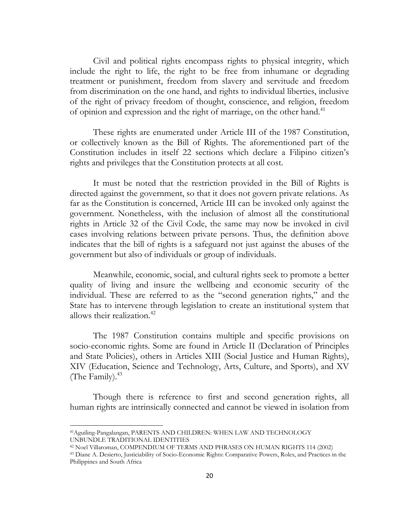Civil and political rights encompass rights to physical integrity, which include the right to life, the right to be free from inhumane or degrading treatment or punishment, freedom from slavery and servitude and freedom from discrimination on the one hand, and rights to individual liberties, inclusive of the right of privacy freedom of thought, conscience, and religion, freedom of opinion and expression and the right of marriage, on the other hand.<sup>41</sup>

These rights are enumerated under Article III of the 1987 Constitution, or collectively known as the Bill of Rights. The aforementioned part of the Constitution includes in itself 22 sections which declare a Filipino citizen's rights and privileges that the Constitution protects at all cost.

It must be noted that the restriction provided in the Bill of Rights is directed against the government, so that it does not govern private relations. As far as the Constitution is concerned, Article III can be invoked only against the government. Nonetheless, with the inclusion of almost all the constitutional rights in Article 32 of the Civil Code, the same may now be invoked in civil cases involving relations between private persons. Thus, the definition above indicates that the bill of rights is a safeguard not just against the abuses of the government but also of individuals or group of individuals.

Meanwhile, economic, social, and cultural rights seek to promote a better quality of living and insure the wellbeing and economic security of the individual. These are referred to as the "second generation rights," and the State has to intervene through legislation to create an institutional system that allows their realization. $42$ 

The 1987 Constitution contains multiple and specific provisions on socio-economic rights. Some are found in Article II (Declaration of Principles and State Policies), others in Articles XIII (Social Justice and Human Rights), XIV (Education, Science and Technology, Arts, Culture, and Sports), and XV (The Family). $43$ 

Though there is reference to first and second generation rights, all human rights are intrinsically connected and cannot be viewed in isolation from

 $\overline{a}$ 

<sup>41</sup>Aguiling-Pangalangan, PARENTS AND CHILDREN: WHEN LAW AND TECHNOLOGY UNBUNDLE TRADITIONAL IDENTITIES

<sup>42</sup> Noel Villaroman, COMPENDIUM OF TERMS AND PHRASES ON HUMAN RIGHTS 114 (2002)

<sup>43</sup> Diane A. Desierto, Justiciability of Socio-Economic Rights: Comparative Powers, Roles, and Practices in the Philippines and South Africa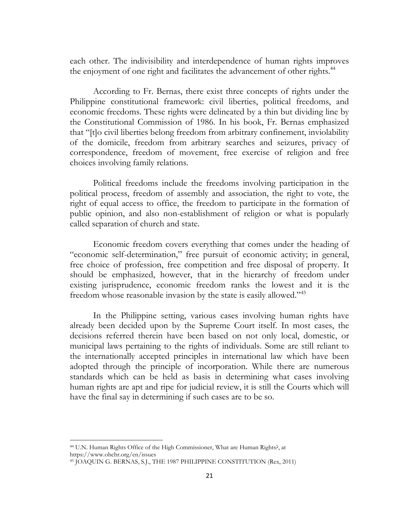each other. The indivisibility and interdependence of human rights improves the enjoyment of one right and facilitates the advancement of other rights.<sup>44</sup>

According to Fr. Bernas, there exist three concepts of rights under the Philippine constitutional framework: civil liberties, political freedoms, and economic freedoms. These rights were delineated by a thin but dividing line by the Constitutional Commission of 1986. In his book, Fr. Bernas emphasized that "[t]o civil liberties belong freedom from arbitrary confinement, inviolability of the domicile, freedom from arbitrary searches and seizures, privacy of correspondence, freedom of movement, free exercise of religion and free choices involving family relations.

Political freedoms include the freedoms involving participation in the political process, freedom of assembly and association, the right to vote, the right of equal access to office, the freedom to participate in the formation of public opinion, and also non-establishment of religion or what is popularly called separation of church and state.

Economic freedom covers everything that comes under the heading of "economic self-determination," free pursuit of economic activity; in general, free choice of profession, free competition and free disposal of property. It should be emphasized, however, that in the hierarchy of freedom under existing jurisprudence, economic freedom ranks the lowest and it is the freedom whose reasonable invasion by the state is easily allowed."<sup>45</sup>

In the Philippine setting, various cases involving human rights have already been decided upon by the Supreme Court itself. In most cases, the decisions referred therein have been based on not only local, domestic, or municipal laws pertaining to the rights of individuals. Some are still reliant to the internationally accepted principles in international law which have been adopted through the principle of incorporation. While there are numerous standards which can be held as basis in determining what cases involving human rights are apt and ripe for judicial review, it is still the Courts which will have the final say in determining if such cases are to be so.

<sup>44</sup> U.N. Human Rights Office of the High Commissioner, What are Human Rights?, at https://www.ohchr.org/en/issues

<sup>45</sup> JOAQUIN G. BERNAS, S.J., THE 1987 PHILIPPINE CONSTITUTION (Rex, 2011)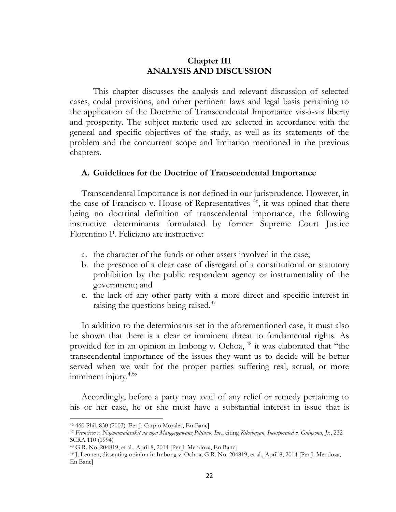## **Chapter III ANALYSIS AND DISCUSSION**

This chapter discusses the analysis and relevant discussion of selected cases, codal provisions, and other pertinent laws and legal basis pertaining to the application of the Doctrine of Transcendental Importance vis-à-vis liberty and prosperity. The subject materie used are selected in accordance with the general and specific objectives of the study, as well as its statements of the problem and the concurrent scope and limitation mentioned in the previous chapters.

#### **A. Guidelines for the Doctrine of Transcendental Importance**

Transcendental Importance is not defined in our jurisprudence. However, in the case of Francisco v. House of Representatives  $46$ , it was opined that there being no doctrinal definition of transcendental importance, the following instructive determinants formulated by former Supreme Court Justice Florentino P. Feliciano are instructive:

- a. the character of the funds or other assets involved in the case;
- b. the presence of a clear case of disregard of a constitutional or statutory prohibition by the public respondent agency or instrumentality of the government; and
- c. the lack of any other party with a more direct and specific interest in raising the questions being raised.<sup>47</sup>

In addition to the determinants set in the aforementioned case, it must also be shown that there is a clear or imminent threat to fundamental rights. As provided for in an opinion in Imbong v. Ochoa, <sup>48</sup> it was elaborated that "the transcendental importance of the issues they want us to decide will be better served when we wait for the proper parties suffering real, actual, or more imminent injury.<sup>49</sup>"

Accordingly, before a party may avail of any relief or remedy pertaining to his or her case, he or she must have a substantial interest in issue that is

 $\overline{\phantom{a}}$ 

<sup>46</sup> 460 Phil. 830 (2003) [Per J. Carpio Morales, En Banc]

<sup>47</sup> *Francisco v. Nagmamalasakit na mga Manggagawang Pilipino, Inc.*, citing *Kilosbayan, Incorporated v. Guingona*, *Jr.*, 232 SCRA 110 (1994)

<sup>48</sup> G.R. No. 204819, et al., April 8, 2014 [Per J. Mendoza, En Banc]

<sup>49</sup> J. Leonen, dissenting opinion in Imbong v. Ochoa, G.R. No. 204819, et al., April 8, 2014 [Per J. Mendoza, En Banc]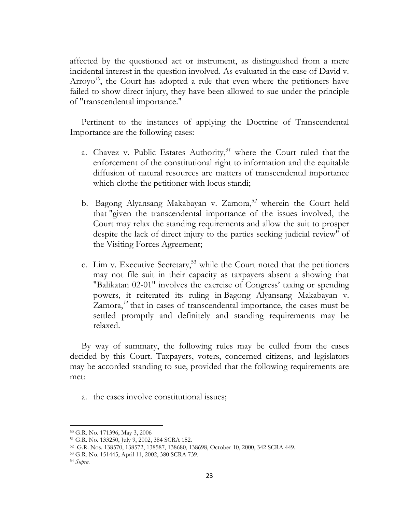affected by the questioned act or instrument, as distinguished from a mere incidental interest in the question involved. As evaluated in the case of David v. Arroyo<sup>50</sup>, the Court has adopted a rule that even where the petitioners have failed to show direct injury, they have been allowed to sue under the principle of "transcendental importance."

Pertinent to the instances of applying the Doctrine of Transcendental Importance are the following cases:

- a. Chavez v. Public Estates Authority,*<sup>51</sup>* where the Court ruled that the enforcement of the constitutional right to information and the equitable diffusion of natural resources are matters of transcendental importance which clothe the petitioner with locus standi;
- b. Bagong Alyansang Makabayan v. Zamora,*<sup>52</sup>* wherein the Court held that "given the transcendental importance of the issues involved, the Court may relax the standing requirements and allow the suit to prosper despite the lack of direct injury to the parties seeking judicial review" of the Visiting Forces Agreement;
- c. Lim v. Executive Secretary, <sup>53</sup> while the Court noted that the petitioners may not file suit in their capacity as taxpayers absent a showing that "Balikatan 02-01" involves the exercise of Congress' taxing or spending powers, it reiterated its ruling in Bagong Alyansang Makabayan v. Zamora,*<sup>54</sup>* that in cases of transcendental importance, the cases must be settled promptly and definitely and standing requirements may be relaxed.

By way of summary, the following rules may be culled from the cases decided by this Court. Taxpayers, voters, concerned citizens, and legislators may be accorded standing to sue, provided that the following requirements are met:

a. the cases involve constitutional issues;

 $\overline{a}$ 

<sup>50</sup> G.R. No. 171396, May 3, 2006

<sup>51</sup> G.R. No. 133250, July 9, 2002, 384 SCRA 152.

<sup>52</sup> G.R. Nos. 138570, 138572, 138587, 138680, 138698, October 10, 2000, 342 SCRA 449.

<sup>53</sup> G.R. No. 151445, April 11, 2002, 380 SCRA 739.

<sup>54</sup> *Supra.*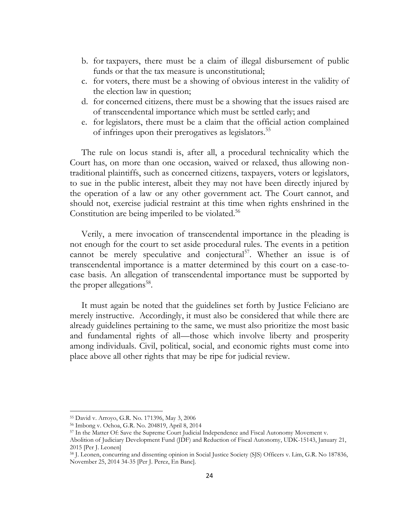- b. for taxpayers, there must be a claim of illegal disbursement of public funds or that the tax measure is unconstitutional;
- c. for voters, there must be a showing of obvious interest in the validity of the election law in question;
- d. for concerned citizens, there must be a showing that the issues raised are of transcendental importance which must be settled early; and
- e. for legislators, there must be a claim that the official action complained of infringes upon their prerogatives as legislators.<sup>55</sup>

The rule on locus standi is, after all, a procedural technicality which the Court has, on more than one occasion, waived or relaxed, thus allowing nontraditional plaintiffs, such as concerned citizens, taxpayers, voters or legislators, to sue in the public interest, albeit they may not have been directly injured by the operation of a law or any other government act. The Court cannot, and should not, exercise judicial restraint at this time when rights enshrined in the Constitution are being imperiled to be violated.<sup>56</sup>

Verily, a mere invocation of transcendental importance in the pleading is not enough for the court to set aside procedural rules. The events in a petition cannot be merely speculative and conjectural<sup>57</sup>. Whether an issue is of transcendental importance is a matter determined by this court on a case-tocase basis. An allegation of transcendental importance must be supported by the proper allegations<sup>58</sup>.

It must again be noted that the guidelines set forth by Justice Feliciano are merely instructive. Accordingly, it must also be considered that while there are already guidelines pertaining to the same, we must also prioritize the most basic and fundamental rights of all—those which involve liberty and prosperity among individuals. Civil, political, social, and economic rights must come into place above all other rights that may be ripe for judicial review.

<sup>55</sup> David v. Arroyo, G.R. No. 171396, May 3, 2006

<sup>56</sup> Imbong v. Ochoa, G.R. No. 204819, April 8, 2014

<sup>57</sup> In the Matter Of: Save the Supreme Court Judicial Independence and Fiscal Autonomy Movement v.

Abolition of Judiciary Development Fund (JDF) and Reduction of Fiscal Autonomy, UDK-15143, January 21, 2015 [Per J. Leonen]

<sup>58</sup> J. Leonen, concurring and dissenting opinion in Social Justice Society (SJS) Officers v. Lim, G.R. No 187836, November 25, 2014 34-35 [Per J. Perez, En Banc].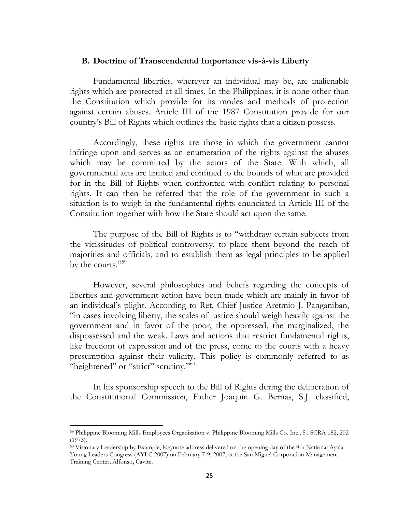#### **B. Doctrine of Transcendental Importance vis-à-vis Liberty**

Fundamental liberties, wherever an individual may be, are inalienable rights which are protected at all times. In the Philippines, it is none other than the Constitution which provide for its modes and methods of protection against certain abuses. Article III of the 1987 Constitution provide for our country's Bill of Rights which outlines the basic rights that a citizen possess.

Accordingly, these rights are those in which the government cannot infringe upon and serves as an enumeration of the rights against the abuses which may be committed by the actors of the State. With which, all governmental acts are limited and confined to the bounds of what are provided for in the Bill of Rights when confronted with conflict relating to personal rights. It can then be referred that the role of the government in such a situation is to weigh in the fundamental rights enunciated in Article III of the Constitution together with how the State should act upon the same.

The purpose of the Bill of Rights is to "withdraw certain subjects from the vicissitudes of political controversy, to place them beyond the reach of majorities and officials, and to establish them as legal principles to be applied by the courts."<sup>59</sup>

However, several philosophies and beliefs regarding the concepts of liberties and government action have been made which are mainly in favor of an individual's plight. According to Ret. Chief Justice Aretmio J. Panganiban, "in cases involving liberty, the scales of justice should weigh heavily against the government and in favor of the poor, the oppressed, the marginalized, the dispossessed and the weak. Laws and actions that restrict fundamental rights, like freedom of expression and of the press, come to the courts with a heavy presumption against their validity. This policy is commonly referred to as "heightened" or "strict" scrutiny."<sup>60</sup>

In his sponsorship speech to the Bill of Rights during the deliberation of the Constitutional Commission, Father Joaquin G. Bernas, S.J. classified,

 $\overline{a}$ 

<sup>59</sup> Philippine Blooming Mills Employees Organization v. Philippine Blooming Mills Co. Inc., 51 SCRA 182, 202 (1973).

<sup>60</sup> Visionary Leadership by Example, Keynote address delivered on the opening day of the 9th National Ayala Young Leaders Congress (AYLC 2007) on February 7-9, 2007, at the San Miguel Corporation Management Training Center, Alfonso, Cavite.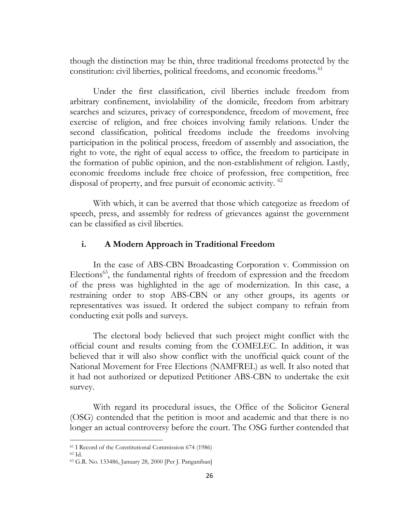though the distinction may be thin, three traditional freedoms protected by the constitution: civil liberties, political freedoms, and economic freedoms.<sup>61</sup>

Under the first classification, civil liberties include freedom from arbitrary confinement, inviolability of the domicile, freedom from arbitrary searches and seizures, privacy of correspondence, freedom of movement, free exercise of religion, and free choices involving family relations. Under the second classification, political freedoms include the freedoms involving participation in the political process, freedom of assembly and association, the right to vote, the right of equal access to office, the freedom to participate in the formation of public opinion, and the non-establishment of religion. Lastly, economic freedoms include free choice of profession, free competition, free disposal of property, and free pursuit of economic activity. <sup>62</sup>

With which, it can be averred that those which categorize as freedom of speech, press, and assembly for redress of grievances against the government can be classified as civil liberties.

## **i. A Modern Approach in Traditional Freedom**

In the case of ABS-CBN Broadcasting Corporation v. Commission on Elections<sup>63</sup>, the fundamental rights of freedom of expression and the freedom of the press was highlighted in the age of modernization. In this case, a restraining order to stop ABS-CBN or any other groups, its agents or representatives was issued. It ordered the subject company to refrain from conducting exit polls and surveys.

The electoral body believed that such project might conflict with the official count and results coming from the COMELEC. In addition, it was believed that it will also show conflict with the unofficial quick count of the National Movement for Free Elections (NAMFREL) as well. It also noted that it had not authorized or deputized Petitioner ABS-CBN to undertake the exit survey.

With regard its procedural issues, the Office of the Solicitor General (OSG) contended that the petition is moot and academic and that there is no longer an actual controversy before the court. The OSG further contended that

<sup>61</sup> I Record of the Constitutional Commission 674 (1986)

<sup>62</sup> Id.

<sup>63</sup> G.R. No. 133486, January 28, 2000 [Per J. Panganiban]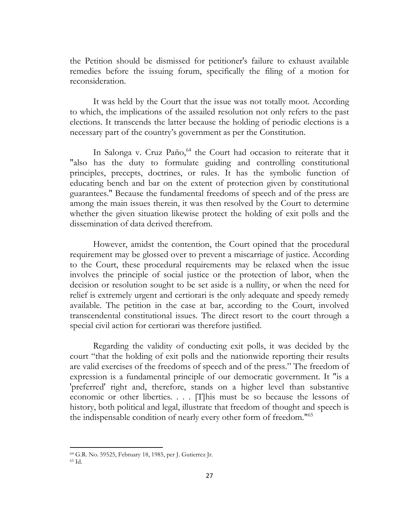the Petition should be dismissed for petitioner's failure to exhaust available remedies before the issuing forum, specifically the filing of a motion for reconsideration.

It was held by the Court that the issue was not totally moot. According to which, the implications of the assailed resolution not only refers to the past elections. It transcends the latter because the holding of periodic elections is a necessary part of the country's government as per the Constitution.

In Salonga v. Cruz Paño,<sup>64</sup> the Court had occasion to reiterate that it "also has the duty to formulate guiding and controlling constitutional principles, precepts, doctrines, or rules. It has the symbolic function of educating bench and bar on the extent of protection given by constitutional guarantees." Because the fundamental freedoms of speech and of the press are among the main issues therein, it was then resolved by the Court to determine whether the given situation likewise protect the holding of exit polls and the dissemination of data derived therefrom.

However, amidst the contention, the Court opined that the procedural requirement may be glossed over to prevent a miscarriage of justice. According to the Court, these procedural requirements may be relaxed when the issue involves the principle of social justice or the protection of labor, when the decision or resolution sought to be set aside is a nullity, or when the need for relief is extremely urgent and certiorari is the only adequate and speedy remedy available. The petition in the case at bar, according to the Court, involved transcendental constitutional issues. The direct resort to the court through a special civil action for certiorari was therefore justified.

Regarding the validity of conducting exit polls, it was decided by the court "that the holding of exit polls and the nationwide reporting their results are valid exercises of the freedoms of speech and of the press." The freedom of expression is a fundamental principle of our democratic government. It "is a 'preferred' right and, therefore, stands on a higher level than substantive economic or other liberties. . . . [T]his must be so because the lessons of history, both political and legal, illustrate that freedom of thought and speech is the indispensable condition of nearly every other form of freedom."<sup>65</sup>

 $\overline{\phantom{a}}$ 

<sup>64</sup> G.R. No. 59525, February 18, 1985, per J. Gutierrez Jr.

<sup>65</sup> Id.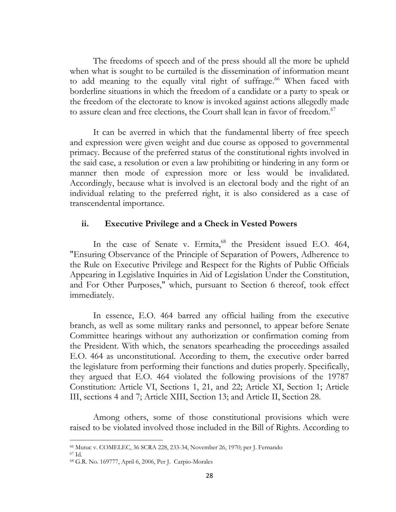The freedoms of speech and of the press should all the more be upheld when what is sought to be curtailed is the dissemination of information meant to add meaning to the equally vital right of suffrage.<sup>66</sup> When faced with borderline situations in which the freedom of a candidate or a party to speak or the freedom of the electorate to know is invoked against actions allegedly made to assure clean and free elections, the Court shall lean in favor of freedom.<sup>67</sup>

It can be averred in which that the fundamental liberty of free speech and expression were given weight and due course as opposed to governmental primacy. Because of the preferred status of the constitutional rights involved in the said case, a resolution or even a law prohibiting or hindering in any form or manner then mode of expression more or less would be invalidated. Accordingly, because what is involved is an electoral body and the right of an individual relating to the preferred right, it is also considered as a case of transcendental importance.

## **ii. Executive Privilege and a Check in Vested Powers**

In the case of Senate v. Ermita,<sup>68</sup> the President issued E.O. 464, "Ensuring Observance of the Principle of Separation of Powers, Adherence to the Rule on Executive Privilege and Respect for the Rights of Public Officials Appearing in Legislative Inquiries in Aid of Legislation Under the Constitution, and For Other Purposes," which, pursuant to Section 6 thereof, took effect immediately.

In essence, E.O. 464 barred any official hailing from the executive branch, as well as some military ranks and personnel, to appear before Senate Committee hearings without any authorization or confirmation coming from the President. With which, the senators spearheading the proceedings assailed E.O. 464 as unconstitutional. According to them, the executive order barred the legislature from performing their functions and duties properly. Specifically, they argued that E.O. 464 violated the following provisions of the 19787 Constitution: Article VI, Sections 1, 21, and 22; Article XI, Section 1; Article III, sections 4 and 7; Article XIII, Section 13; and Article II, Section 28.

Among others, some of those constitutional provisions which were raised to be violated involved those included in the Bill of Rights. According to

<sup>66</sup> Mutuc v. COMELEC, 36 SCRA 228, 233-34, November 26, 1970; per J. Fernando

<sup>67</sup> Id.

<sup>68</sup> G.R. No. 169777, April 6, 2006, Per J. Carpio-Morales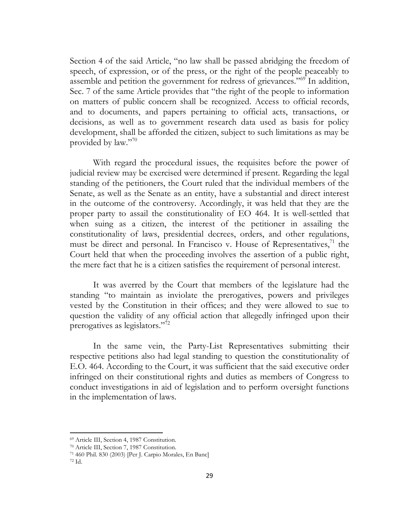Section 4 of the said Article, "no law shall be passed abridging the freedom of speech, of expression, or of the press, or the right of the people peaceably to assemble and petition the government for redress of grievances."<sup>69</sup> In addition, Sec. 7 of the same Article provides that "the right of the people to information on matters of public concern shall be recognized. Access to official records, and to documents, and papers pertaining to official acts, transactions, or decisions, as well as to government research data used as basis for policy development, shall be afforded the citizen, subject to such limitations as may be provided by law."70

With regard the procedural issues, the requisites before the power of judicial review may be exercised were determined if present. Regarding the legal standing of the petitioners, the Court ruled that the individual members of the Senate, as well as the Senate as an entity, have a substantial and direct interest in the outcome of the controversy. Accordingly, it was held that they are the proper party to assail the constitutionality of EO 464. It is well-settled that when suing as a citizen, the interest of the petitioner in assailing the constitutionality of laws, presidential decrees, orders, and other regulations, must be direct and personal. In Francisco v. House of Representatives,<sup>71</sup> the Court held that when the proceeding involves the assertion of a public right, the mere fact that he is a citizen satisfies the requirement of personal interest.

It was averred by the Court that members of the legislature had the standing "to maintain as inviolate the prerogatives, powers and privileges vested by the Constitution in their offices; and they were allowed to sue to question the validity of any official action that allegedly infringed upon their prerogatives as legislators."<sup>72</sup>

In the same vein, the Party-List Representatives submitting their respective petitions also had legal standing to question the constitutionality of E.O. 464. According to the Court, it was sufficient that the said executive order infringed on their constitutional rights and duties as members of Congress to conduct investigations in aid of legislation and to perform oversight functions in the implementation of laws.

<sup>69</sup> Article III, Section 4, 1987 Constitution.

<sup>70</sup> Article III, Section 7, 1987 Constitution.

<sup>71</sup> 460 Phil. 830 (2003) [Per J. Carpio Morales, En Banc]

<sup>72</sup> Id.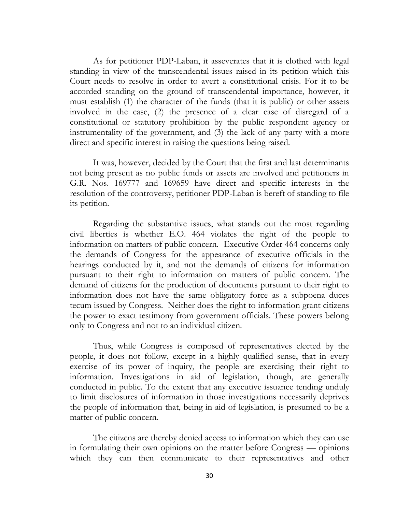As for petitioner PDP-Laban, it asseverates that it is clothed with legal standing in view of the transcendental issues raised in its petition which this Court needs to resolve in order to avert a constitutional crisis. For it to be accorded standing on the ground of transcendental importance, however, it must establish (1) the character of the funds (that it is public) or other assets involved in the case, (2) the presence of a clear case of disregard of a constitutional or statutory prohibition by the public respondent agency or instrumentality of the government, and (3) the lack of any party with a more direct and specific interest in raising the questions being raised.

It was, however, decided by the Court that the first and last determinants not being present as no public funds or assets are involved and petitioners in G.R. Nos. 169777 and 169659 have direct and specific interests in the resolution of the controversy, petitioner PDP-Laban is bereft of standing to file its petition.

Regarding the substantive issues, what stands out the most regarding civil liberties is whether E.O. 464 violates the right of the people to information on matters of public concern. Executive Order 464 concerns only the demands of Congress for the appearance of executive officials in the hearings conducted by it, and not the demands of citizens for information pursuant to their right to information on matters of public concern. The demand of citizens for the production of documents pursuant to their right to information does not have the same obligatory force as a subpoena duces tecum issued by Congress. Neither does the right to information grant citizens the power to exact testimony from government officials. These powers belong only to Congress and not to an individual citizen.

Thus, while Congress is composed of representatives elected by the people, it does not follow, except in a highly qualified sense, that in every exercise of its power of inquiry, the people are exercising their right to information. Investigations in aid of legislation, though, are generally conducted in public. To the extent that any executive issuance tending unduly to limit disclosures of information in those investigations necessarily deprives the people of information that, being in aid of legislation, is presumed to be a matter of public concern.

The citizens are thereby denied access to information which they can use in formulating their own opinions on the matter before Congress — opinions which they can then communicate to their representatives and other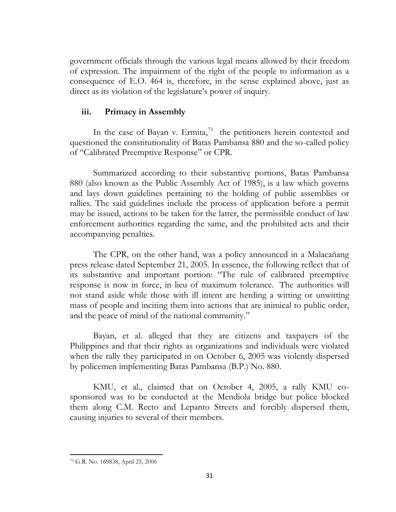government officials through the various legal means allowed by their freedom of expression. The impairment of the right of the people to information as a consequence of E.O. 464 is, therefore, in the sense explained above, just as direct as its violation of the legislature's power of inquiry.

## **iii. Primacy in Assembly**

In the case of Bayan v. Ermita,<sup>73</sup> the petitioners herein contested and questioned the constitutionality of Batas Pambansa 880 and the so-called policy of "Calibrated Preemptive Response" or CPR.

Summarized according to their substantive portions, Batas Pambansa 880 (also known as the Public Assembly Act of 1985), is a law which governs and lays down guidelines pertaining to the holding of public assemblies or rallies. The said guidelines include the process of application before a permit may be issued, actions to be taken for the latter, the permissible conduct of law enforcement authorities regarding the same, and the prohibited acts and their accompanying penalties.

The CPR, on the other hand, was a policy announced in a Malacañang press release dated September 21, 2005. In essence, the following reflect that of its substantive and important portion: "The rule of calibrated preemptive response is now in force, in lieu of maximum tolerance. The authorities will not stand aside while those with ill intent are herding a witting or unwitting mass of people and inciting them into actions that are inimical to public order, and the peace of mind of the national community."

Bayan, et al. alleged that they are citizens and taxpayers of the Philippines and that their rights as organizations and individuals were violated when the rally they participated in on October 6, 2005 was violently dispersed by policemen implementing Batas Pambansa (B.P.) No. 880.

KMU, et al., claimed that on October 4, 2005, a rally KMU cosponsored was to be conducted at the Mendiola bridge but police blocked them along C.M. Recto and Lepanto Streets and forcibly dispersed them, causing injuries to several of their members.

 $\overline{a}$ <sup>73</sup> G.R. No. 169838, April 25, 2006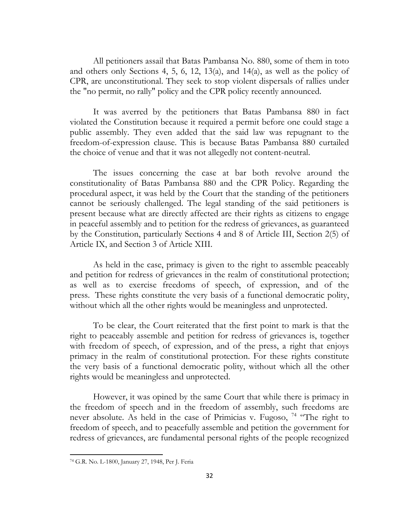All petitioners assail that Batas Pambansa No. 880, some of them in toto and others only Sections 4, 5, 6, 12, 13(a), and 14(a), as well as the policy of CPR, are unconstitutional. They seek to stop violent dispersals of rallies under the "no permit, no rally" policy and the CPR policy recently announced.

It was averred by the petitioners that Batas Pambansa 880 in fact violated the Constitution because it required a permit before one could stage a public assembly. They even added that the said law was repugnant to the freedom-of-expression clause. This is because Batas Pambansa 880 curtailed the choice of venue and that it was not allegedly not content-neutral.

The issues concerning the case at bar both revolve around the constitutionality of Batas Pambansa 880 and the CPR Policy. Regarding the procedural aspect, it was held by the Court that the standing of the petitioners cannot be seriously challenged. The legal standing of the said petitioners is present because what are directly affected are their rights as citizens to engage in peaceful assembly and to petition for the redress of grievances, as guaranteed by the Constitution, particularly Sections 4 and 8 of Article III, Section 2(5) of Article IX, and Section 3 of Article XIII.

As held in the case, primacy is given to the right to assemble peaceably and petition for redress of grievances in the realm of constitutional protection; as well as to exercise freedoms of speech, of expression, and of the press. These rights constitute the very basis of a functional democratic polity, without which all the other rights would be meaningless and unprotected.

To be clear, the Court reiterated that the first point to mark is that the right to peaceably assemble and petition for redress of grievances is, together with freedom of speech, of expression, and of the press, a right that enjoys primacy in the realm of constitutional protection. For these rights constitute the very basis of a functional democratic polity, without which all the other rights would be meaningless and unprotected.

However, it was opined by the same Court that while there is primacy in the freedom of speech and in the freedom of assembly, such freedoms are never absolute. As held in the case of Primicias v. Fugoso,  $^{74}$  "The right to freedom of speech, and to peacefully assemble and petition the government for redress of grievances, are fundamental personal rights of the people recognized

 $\overline{a}$ 

<sup>74</sup> G.R. No. L-1800, January 27, 1948, Per J. Feria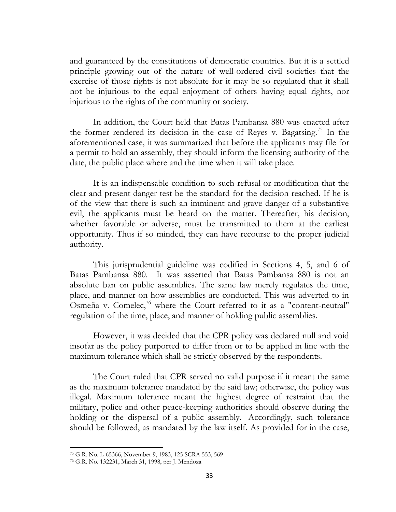and guaranteed by the constitutions of democratic countries. But it is a settled principle growing out of the nature of well-ordered civil societies that the exercise of those rights is not absolute for it may be so regulated that it shall not be injurious to the equal enjoyment of others having equal rights, nor injurious to the rights of the community or society.

In addition, the Court held that Batas Pambansa 880 was enacted after the former rendered its decision in the case of Reyes v. Bagatsing.<sup>75</sup> In the aforementioned case, it was summarized that before the applicants may file for a permit to hold an assembly, they should inform the licensing authority of the date, the public place where and the time when it will take place.

It is an indispensable condition to such refusal or modification that the clear and present danger test be the standard for the decision reached. If he is of the view that there is such an imminent and grave danger of a substantive evil, the applicants must be heard on the matter. Thereafter, his decision, whether favorable or adverse, must be transmitted to them at the earliest opportunity. Thus if so minded, they can have recourse to the proper judicial authority.

This jurisprudential guideline was codified in Sections 4, 5, and 6 of Batas Pambansa 880. It was asserted that Batas Pambansa 880 is not an absolute ban on public assemblies. The same law merely regulates the time, place, and manner on how assemblies are conducted. This was adverted to in Osmeña v. Comelec,<sup>76</sup> where the Court referred to it as a "content-neutral" regulation of the time, place, and manner of holding public assemblies.

However, it was decided that the CPR policy was declared null and void insofar as the policy purported to differ from or to be applied in line with the maximum tolerance which shall be strictly observed by the respondents.

The Court ruled that CPR served no valid purpose if it meant the same as the maximum tolerance mandated by the said law; otherwise, the policy was illegal. Maximum tolerance meant the highest degree of restraint that the military, police and other peace-keeping authorities should observe during the holding or the dispersal of a public assembly. Accordingly, such tolerance should be followed, as mandated by the law itself. As provided for in the case,

 $\overline{\phantom{a}}$ 

<sup>75</sup> G.R. No. L-65366, November 9, 1983, 125 SCRA 553, 569

<sup>76</sup> G.R. No. 132231, March 31, 1998, per J. Mendoza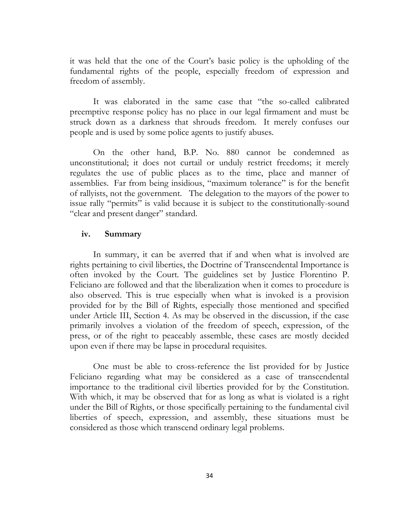it was held that the one of the Court's basic policy is the upholding of the fundamental rights of the people, especially freedom of expression and freedom of assembly.

It was elaborated in the same case that "the so-called calibrated preemptive response policy has no place in our legal firmament and must be struck down as a darkness that shrouds freedom. It merely confuses our people and is used by some police agents to justify abuses.

On the other hand, B.P. No. 880 cannot be condemned as unconstitutional; it does not curtail or unduly restrict freedoms; it merely regulates the use of public places as to the time, place and manner of assemblies. Far from being insidious, "maximum tolerance" is for the benefit of rallyists, not the government. The delegation to the mayors of the power to issue rally "permits" is valid because it is subject to the constitutionally-sound "clear and present danger" standard.

## **iv. Summary**

In summary, it can be averred that if and when what is involved are rights pertaining to civil liberties, the Doctrine of Transcendental Importance is often invoked by the Court. The guidelines set by Justice Florentino P. Feliciano are followed and that the liberalization when it comes to procedure is also observed. This is true especially when what is invoked is a provision provided for by the Bill of Rights, especially those mentioned and specified under Article III, Section 4. As may be observed in the discussion, if the case primarily involves a violation of the freedom of speech, expression, of the press, or of the right to peaceably assemble, these cases are mostly decided upon even if there may be lapse in procedural requisites.

One must be able to cross-reference the list provided for by Justice Feliciano regarding what may be considered as a case of transcendental importance to the traditional civil liberties provided for by the Constitution. With which, it may be observed that for as long as what is violated is a right under the Bill of Rights, or those specifically pertaining to the fundamental civil liberties of speech, expression, and assembly, these situations must be considered as those which transcend ordinary legal problems.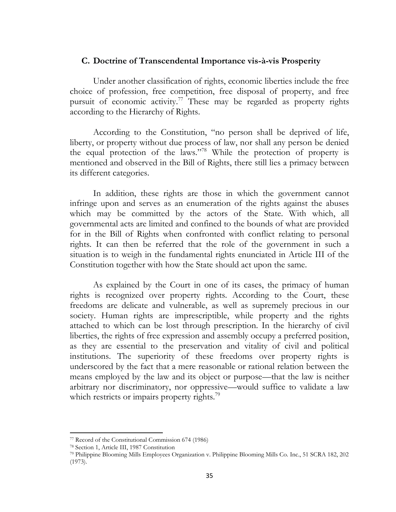#### **C. Doctrine of Transcendental Importance vis-à-vis Prosperity**

Under another classification of rights, economic liberties include the free choice of profession, free competition, free disposal of property, and free pursuit of economic activity.<sup>77</sup> These may be regarded as property rights according to the Hierarchy of Rights.

According to the Constitution, "no person shall be deprived of life, liberty, or property without due process of law, nor shall any person be denied the equal protection of the laws."<sup>78</sup> While the protection of property is mentioned and observed in the Bill of Rights, there still lies a primacy between its different categories.

In addition, these rights are those in which the government cannot infringe upon and serves as an enumeration of the rights against the abuses which may be committed by the actors of the State. With which, all governmental acts are limited and confined to the bounds of what are provided for in the Bill of Rights when confronted with conflict relating to personal rights. It can then be referred that the role of the government in such a situation is to weigh in the fundamental rights enunciated in Article III of the Constitution together with how the State should act upon the same.

As explained by the Court in one of its cases, the primacy of human rights is recognized over property rights. According to the Court, these freedoms are delicate and vulnerable, as well as supremely precious in our society. Human rights are imprescriptible, while property and the rights attached to which can be lost through prescription. In the hierarchy of civil liberties, the rights of free expression and assembly occupy a preferred position, as they are essential to the preservation and vitality of civil and political institutions. The superiority of these freedoms over property rights is underscored by the fact that a mere reasonable or rational relation between the means employed by the law and its object or purpose—that the law is neither arbitrary nor discriminatory, nor oppressive—would suffice to validate a law which restricts or impairs property rights.<sup>79</sup>

<sup>77</sup> Record of the Constitutional Commission 674 (1986)

<sup>78</sup> Section 1, Article III, 1987 Constitution

<sup>79</sup> Philippine Blooming Mills Employees Organization v. Philippine Blooming Mills Co. Inc., 51 SCRA 182, 202 (1973).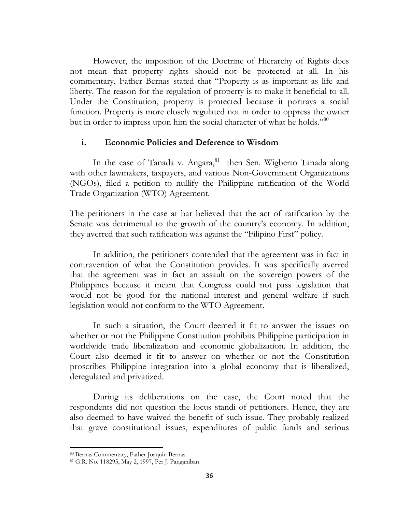However, the imposition of the Doctrine of Hierarchy of Rights does not mean that property rights should not be protected at all. In his commentary, Father Bernas stated that "Property is as important as life and liberty. The reason for the regulation of property is to make it beneficial to all. Under the Constitution, property is protected because it portrays a social function. Property is more closely regulated not in order to oppress the owner but in order to impress upon him the social character of what he holds."<sup>80</sup>

#### **i. Economic Policies and Deference to Wisdom**

In the case of Tanada v. Angara,<sup>81</sup> then Sen. Wigberto Tanada along with other lawmakers, taxpayers, and various Non-Government Organizations (NGOs), filed a petition to nullify the Philippine ratification of the World Trade Organization (WTO) Agreement.

The petitioners in the case at bar believed that the act of ratification by the Senate was detrimental to the growth of the country's economy. In addition, they averred that such ratification was against the "Filipino First" policy.

In addition, the petitioners contended that the agreement was in fact in contravention of what the Constitution provides. It was specifically averred that the agreement was in fact an assault on the sovereign powers of the Philippines because it meant that Congress could not pass legislation that would not be good for the national interest and general welfare if such legislation would not conform to the WTO Agreement.

In such a situation, the Court deemed it fit to answer the issues on whether or not the Philippine Constitution prohibits Philippine participation in worldwide trade liberalization and economic globalization. In addition, the Court also deemed it fit to answer on whether or not the Constitution proscribes Philippine integration into a global economy that is liberalized, deregulated and privatized.

During its deliberations on the case, the Court noted that the respondents did not question the locus standi of petitioners. Hence, they are also deemed to have waived the benefit of such issue. They probably realized that grave constitutional issues, expenditures of public funds and serious

 $\overline{\phantom{a}}$ 

<sup>80</sup> Bernas Commentary, Father Joaquin Bernas

<sup>81</sup> G.R. No. 118295, May 2, 1997, Per J. Panganiban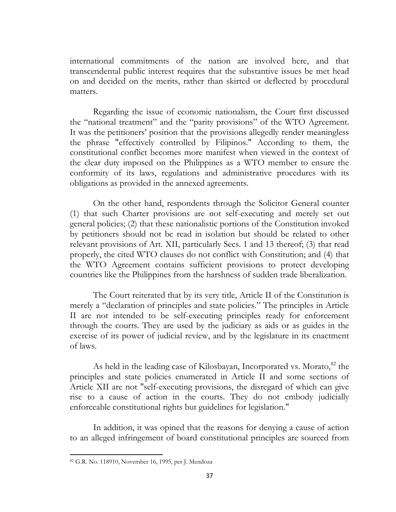international commitments of the nation are involved here, and that transcendental public interest requires that the substantive issues be met head on and decided on the merits, rather than skirted or deflected by procedural matters.

Regarding the issue of economic nationalism, the Court first discussed the "national treatment" and the "parity provisions" of the WTO Agreement. It was the petitioners' position that the provisions allegedly render meaningless the phrase "effectively controlled by Filipinos." According to them, the constitutional conflict becomes more manifest when viewed in the context of the clear duty imposed on the Philippines as a WTO member to ensure the conformity of its laws, regulations and administrative procedures with its obligations as provided in the annexed agreements.

On the other hand, respondents through the Solicitor General counter (1) that such Charter provisions are not self-executing and merely set out general policies; (2) that these nationalistic portions of the Constitution invoked by petitioners should not be read in isolation but should be related to other relevant provisions of Art. XII, particularly Secs. 1 and 13 thereof; (3) that read properly, the cited WTO clauses do not conflict with Constitution; and (4) that the WTO Agreement contains sufficient provisions to protect developing countries like the Philippines from the harshness of sudden trade liberalization.

The Court reiterated that by its very title, Article II of the Constitution is merely a "declaration of principles and state policies." The principles in Article II are not intended to be self-executing principles ready for enforcement through the courts. They are used by the judiciary as aids or as guides in the exercise of its power of judicial review, and by the legislature in its enactment of laws.

As held in the leading case of Kilosbayan, Incorporated vs. Morato,<sup>82</sup> the principles and state policies enumerated in Article II and some sections of Article XII are not "self-executing provisions, the disregard of which can give rise to a cause of action in the courts. They do not embody judicially enforceable constitutional rights but guidelines for legislation."

In addition, it was opined that the reasons for denying a cause of action to an alleged infringement of board constitutional principles are sourced from

 $\overline{a}$ 

<sup>82</sup> G.R. No. 118910, November 16, 1995, per J. Mendoza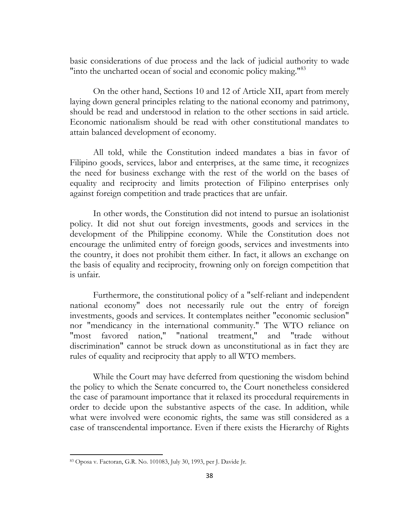basic considerations of due process and the lack of judicial authority to wade "into the uncharted ocean of social and economic policy making."<sup>83</sup>

On the other hand, Sections 10 and 12 of Article XII, apart from merely laying down general principles relating to the national economy and patrimony, should be read and understood in relation to the other sections in said article. Economic nationalism should be read with other constitutional mandates to attain balanced development of economy.

All told, while the Constitution indeed mandates a bias in favor of Filipino goods, services, labor and enterprises, at the same time, it recognizes the need for business exchange with the rest of the world on the bases of equality and reciprocity and limits protection of Filipino enterprises only against foreign competition and trade practices that are unfair.

In other words, the Constitution did not intend to pursue an isolationist policy. It did not shut out foreign investments, goods and services in the development of the Philippine economy. While the Constitution does not encourage the unlimited entry of foreign goods, services and investments into the country, it does not prohibit them either. In fact, it allows an exchange on the basis of equality and reciprocity, frowning only on foreign competition that is unfair.

Furthermore, the constitutional policy of a "self-reliant and independent national economy" does not necessarily rule out the entry of foreign investments, goods and services. It contemplates neither "economic seclusion" nor "mendicancy in the international community." The WTO reliance on "most favored nation," "national treatment," and "trade without discrimination" cannot be struck down as unconstitutional as in fact they are rules of equality and reciprocity that apply to all WTO members.

While the Court may have deferred from questioning the wisdom behind the policy to which the Senate concurred to, the Court nonetheless considered the case of paramount importance that it relaxed its procedural requirements in order to decide upon the substantive aspects of the case. In addition, while what were involved were economic rights, the same was still considered as a case of transcendental importance. Even if there exists the Hierarchy of Rights

 $\overline{a}$ <sup>83</sup> Oposa v. Factoran, G.R. No. 101083, July 30, 1993, per J. Davide Jr.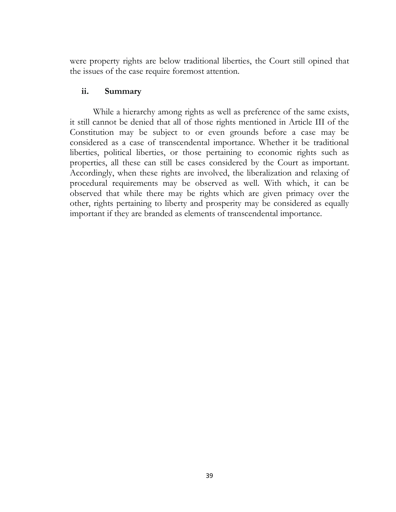were property rights are below traditional liberties, the Court still opined that the issues of the case require foremost attention.

## **ii. Summary**

While a hierarchy among rights as well as preference of the same exists, it still cannot be denied that all of those rights mentioned in Article III of the Constitution may be subject to or even grounds before a case may be considered as a case of transcendental importance. Whether it be traditional liberties, political liberties, or those pertaining to economic rights such as properties, all these can still be cases considered by the Court as important. Accordingly, when these rights are involved, the liberalization and relaxing of procedural requirements may be observed as well. With which, it can be observed that while there may be rights which are given primacy over the other, rights pertaining to liberty and prosperity may be considered as equally important if they are branded as elements of transcendental importance.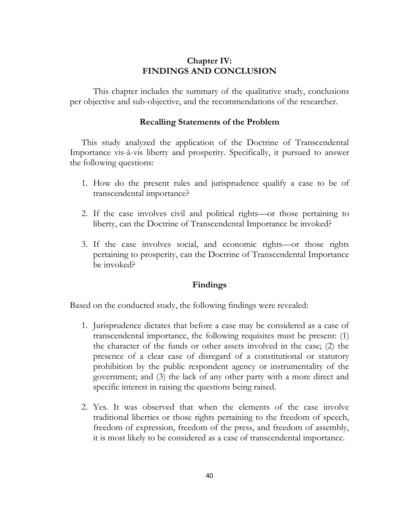## **Chapter IV: FINDINGS AND CONCLUSION**

This chapter includes the summary of the qualitative study, conclusions per objective and sub-objective, and the recommendations of the researcher.

## **Recalling Statements of the Problem**

This study analyzed the application of the Doctrine of Transcendental Importance vis-à-vis liberty and prosperity. Specifically, it pursued to answer the following questions:

- 1. How do the present rules and jurisprudence qualify a case to be of transcendental importance?
- 2. If the case involves civil and political rights—or those pertaining to liberty, can the Doctrine of Transcendental Importance be invoked?
- 3. If the case involves social, and economic rights—or those rights pertaining to prosperity, can the Doctrine of Transcendental Importance be invoked?

## **Findings**

Based on the conducted study, the following findings were revealed:

- 1. Jurisprudence dictates that before a case may be considered as a case of transcendental importance, the following requisites must be present: (1) the character of the funds or other assets involved in the case; (2) the presence of a clear case of disregard of a constitutional or statutory prohibition by the public respondent agency or instrumentality of the government; and (3) the lack of any other party with a more direct and specific interest in raising the questions being raised.
- 2. Yes. It was observed that when the elements of the case involve traditional liberties or those rights pertaining to the freedom of speech, freedom of expression, freedom of the press, and freedom of assembly, it is most likely to be considered as a case of transcendental importance.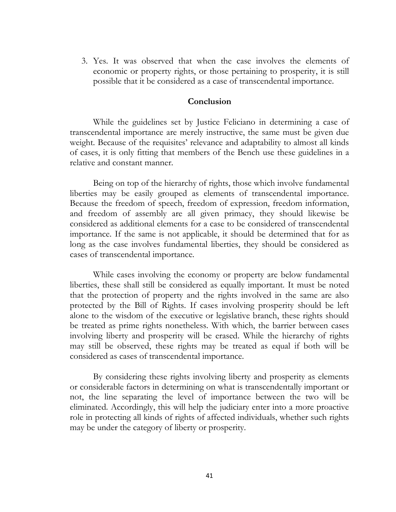3. Yes. It was observed that when the case involves the elements of economic or property rights, or those pertaining to prosperity, it is still possible that it be considered as a case of transcendental importance.

#### **Conclusion**

While the guidelines set by Justice Feliciano in determining a case of transcendental importance are merely instructive, the same must be given due weight. Because of the requisites' relevance and adaptability to almost all kinds of cases, it is only fitting that members of the Bench use these guidelines in a relative and constant manner.

Being on top of the hierarchy of rights, those which involve fundamental liberties may be easily grouped as elements of transcendental importance. Because the freedom of speech, freedom of expression, freedom information, and freedom of assembly are all given primacy, they should likewise be considered as additional elements for a case to be considered of transcendental importance. If the same is not applicable, it should be determined that for as long as the case involves fundamental liberties, they should be considered as cases of transcendental importance.

While cases involving the economy or property are below fundamental liberties, these shall still be considered as equally important. It must be noted that the protection of property and the rights involved in the same are also protected by the Bill of Rights. If cases involving prosperity should be left alone to the wisdom of the executive or legislative branch, these rights should be treated as prime rights nonetheless. With which, the barrier between cases involving liberty and prosperity will be erased. While the hierarchy of rights may still be observed, these rights may be treated as equal if both will be considered as cases of transcendental importance.

By considering these rights involving liberty and prosperity as elements or considerable factors in determining on what is transcendentally important or not, the line separating the level of importance between the two will be eliminated. Accordingly, this will help the judiciary enter into a more proactive role in protecting all kinds of rights of affected individuals, whether such rights may be under the category of liberty or prosperity.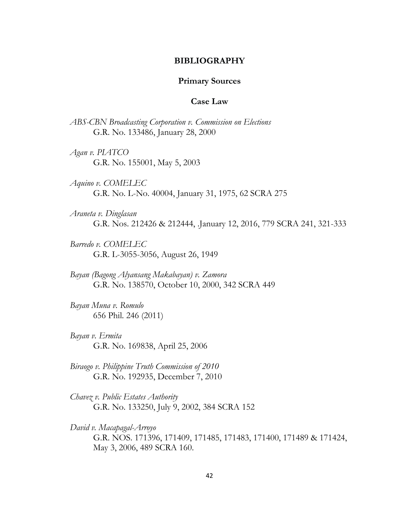#### **BIBLIOGRAPHY**

#### **Primary Sources**

#### **Case Law**

*ABS-CBN Broadcasting Corporation v. Commission on Elections* G.R. No. 133486, January 28, 2000

*Agan v. PIATCO* G.R. No. 155001, May 5, 2003

*Aquino v. COMELEC* G.R. No. L-No. 40004, January 31, 1975, 62 SCRA 275

*Araneta v. Dinglasan* G.R. Nos. 212426 & 212444, .January 12, 2016, 779 SCRA 241, 321-333

*Barredo v. COMELEC* G.R. L-3055-3056, August 26, 1949

*[Bayan \(Bagong Alyansang Makabayan\) v. Zamora](https://lawphil.net/judjuris/2000/oct2000/138570.htm)* [G.R. No. 138570,](https://lawphil.net/judjuris/2000/oct2000/138570.htm) October 10, 2000, 342 SCRA 449

*Bayan Muna v. Romulo* 656 Phil. 246 (2011)

*Bayan v. Ermita* G.R. No. 169838, April 25, 2006

*Biraogo v. Philippine Truth Commission of 2010*  G.R. No. 192935, December 7, 2010

*Chavez v. Public Estates Authority* G.R. No. 133250, July 9, 2002, 384 SCRA 152

*David v. Macapagal-Arroyo* G.R. NOS. 171396, 171409, 171485, 171483, 171400, 171489 & 171424, May 3, 2006, 489 SCRA 160.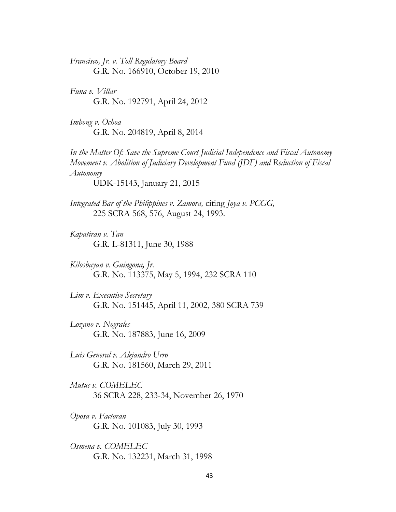*Francisco, Jr. v. Toll Regulatory Board* G.R. No. 166910, October 19, 2010

*Funa v. Villar* G.R. No. 192791, April 24, 2012

*Imbong v. Ochoa*  G.R. No. 204819, April 8, 2014

*In the Matter Of: Save the Supreme Court Judicial Independence and Fiscal Autonomy Movement v. Abolition of Judiciary Development Fund (JDF) and Reduction of Fiscal Autonomy*

UDK-15143, January 21, 2015

*Integrated Bar of the Philippines v. Zamora,* citing *Joya v. PCGG,* 225 SCRA 568, 576, August 24, 1993.

*Kapatiran v. Tan* G.R. L-81311, June 30, 1988

*Kilosbayan v. Guingona, Jr.* G.R. No. 113375, May 5, 1994, 232 SCRA 110

*Lim v. Executive Secretary* G.R. No. 151445, April 11, 2002, 380 SCRA 739

*Lozano v. Nograles* G.R. No. 187883, June 16, 2009

*Luis General v. Alejandro Urro* G.R. No. 181560, March 29, 2011

*Mutuc v. COMELEC* 36 SCRA 228, 233-34, November 26, 1970

*Oposa v. Factoran* G.R. No. 101083, July 30, 1993

*Osmena v. COMELEC* G.R. No. 132231, March 31, 1998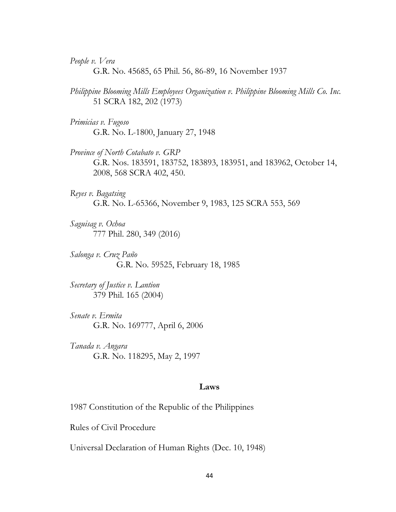*People v. Vera*

G.R. No. 45685, 65 Phil. 56, 86-89, 16 November 1937

- *Philippine Blooming Mills Employees Organization v. Philippine Blooming Mills Co. Inc.* 51 SCRA 182, 202 (1973)
- *Primicias v. Fugoso* G.R. No. L-1800, January 27, 1948
- *Province of North Cotabato v. GRP* G.R. Nos. 183591, 183752, 183893, 183951, and 183962, October 14, 2008, 568 SCRA 402, 450.
- *Reyes v. Bagatsing* G.R. No. L-65366, November 9, 1983, 125 SCRA 553, 569
- *Saguisag v. Ochoa*  777 Phil. 280, 349 (2016)
- *Salonga v. Cruz Paño* G.R. No. 59525, February 18, 1985
- *Secretary of Justice v. Lantion* 379 Phil. 165 (2004)
- *Senate v. Ermita* G.R. No. 169777, April 6, 2006
- *Tanada v. Angara* G.R. No. 118295, May 2, 1997

#### **Laws**

1987 Constitution of the Republic of the Philippines

Rules of Civil Procedure

Universal Declaration of Human Rights (Dec. 10, 1948)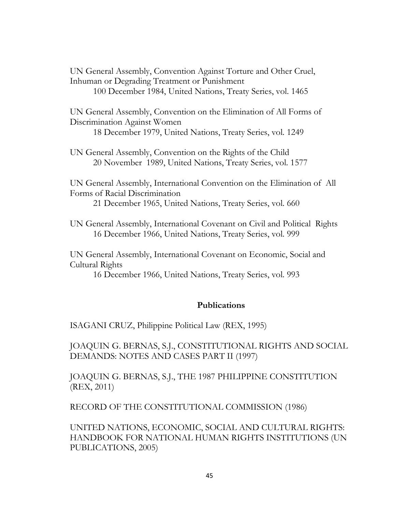UN General Assembly, Convention Against Torture and Other Cruel, Inhuman or Degrading Treatment or Punishment 100 December 1984, United Nations, Treaty Series, vol. 1465

UN General Assembly, Convention on the Elimination of All Forms of Discrimination Against Women

18 December 1979, United Nations, Treaty Series, vol. 1249

UN General Assembly, Convention on the Rights of the Child 20 November 1989, United Nations, Treaty Series, vol. 1577

UN General Assembly, International Convention on the Elimination of All Forms of Racial Discrimination

21 December 1965, United Nations, Treaty Series, vol. 660

UN General Assembly, International Covenant on Civil and Political Rights 16 December 1966, United Nations, Treaty Series, vol. 999

UN General Assembly, International Covenant on Economic, Social and Cultural Rights

16 December 1966, United Nations, Treaty Series, vol. 993

## **Publications**

ISAGANI CRUZ, Philippine Political Law (REX, 1995)

JOAQUIN G. BERNAS, S.J., CONSTITUTIONAL RIGHTS AND SOCIAL DEMANDS: NOTES AND CASES PART II (1997)

JOAQUIN G. BERNAS, S.J., THE 1987 PHILIPPINE CONSTITUTION (REX, 2011)

RECORD OF THE CONSTITUTIONAL COMMISSION (1986)

UNITED NATIONS, ECONOMIC, SOCIAL AND CULTURAL RIGHTS: HANDBOOK FOR NATIONAL HUMAN RIGHTS INSTITUTIONS (UN PUBLICATIONS, 2005)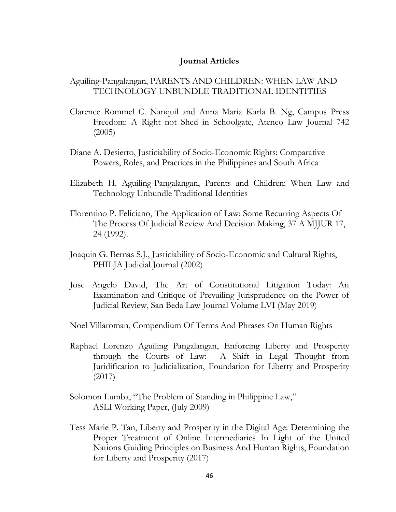#### **Journal Articles**

## Aguiling-Pangalangan, PARENTS AND CHILDREN: WHEN LAW AND TECHNOLOGY UNBUNDLE TRADITIONAL IDENTITIES

- Clarence Rommel C. Nanquil and Anna Maria Karla B. Ng, Campus Press Freedom: A Right not Shed in Schoolgate, Ateneo Law Journal 742 (2005)
- Diane A. Desierto, Justiciability of Socio-Economic Rights: Comparative Powers, Roles, and Practices in the Philippines and South Africa
- Elizabeth H. Aguiling-Pangalangan, Parents and Children: When Law and Technology Unbundle Traditional Identities
- Florentino P. Feliciano, The Application of Law: Some Recurring Aspects Of The Process Of Judicial Review And Decision Making, 37 A MJJUR 17, 24 (1992).
- Joaquin G. Bernas S.J., Justiciability of Socio-Economic and Cultural Rights, PHILJA Judicial Journal (2002)
- Jose Angelo David, The Art of Constitutional Litigation Today: An Examination and Critique of Prevailing Jurisprudence on the Power of Judicial Review, San Beda Law Journal Volume LVI (May 2019)
- Noel Villaroman, Compendium Of Terms And Phrases On Human Rights
- Raphael Lorenzo Aguiling Pangalangan, Enforcing Liberty and Prosperity through the Courts of Law: A Shift in Legal Thought from Juridification to Judicialization, Foundation for Liberty and Prosperity (2017)
- Solomon Lumba, "The Problem of Standing in Philippine Law," ASLI Working Paper, (July 2009)
- Tess Marie P. Tan, Liberty and Prosperity in the Digital Age: Determining the Proper Treatment of Online Intermediaries In Light of the United Nations Guiding Principles on Business And Human Rights, Foundation for Liberty and Prosperity (2017)